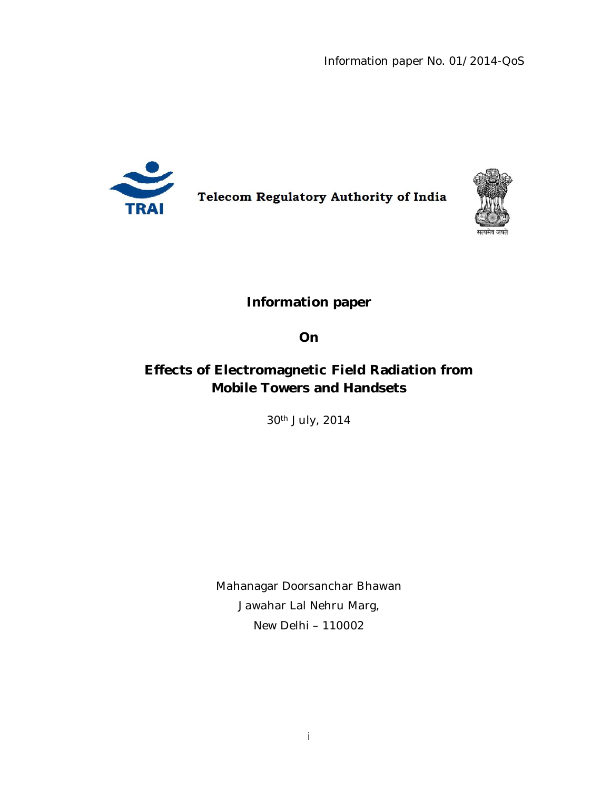Information paper No. 01/2014-QoS



**Telecom Regulatory Authority of India** 



**Information paper** 

**On** 

# **Effects of Electromagnetic Field Radiation from Mobile Towers and Handsets**

30th July, 2014

Mahanagar Doorsanchar Bhawan Jawahar Lal Nehru Marg, New Delhi – 110002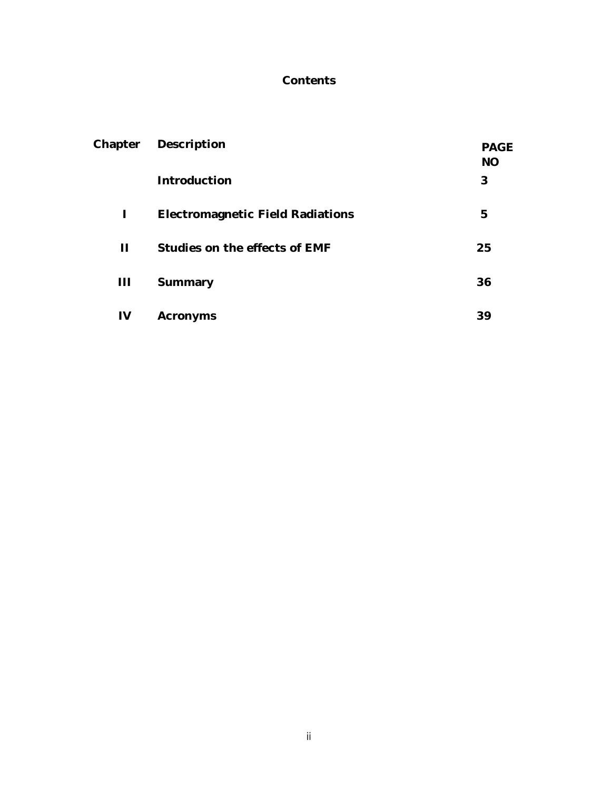#### **Contents**

| Chapter        | Description                             | <b>PAGE</b><br><b>NO</b> |
|----------------|-----------------------------------------|--------------------------|
|                | Introduction                            | 3                        |
| ı              | <b>Electromagnetic Field Radiations</b> | 5                        |
| $\mathbf{H}$   | Studies on the effects of EMF           | 25                       |
| $\mathbf{III}$ | Summary                                 | 36                       |
| IV             | Acronyms                                | 39                       |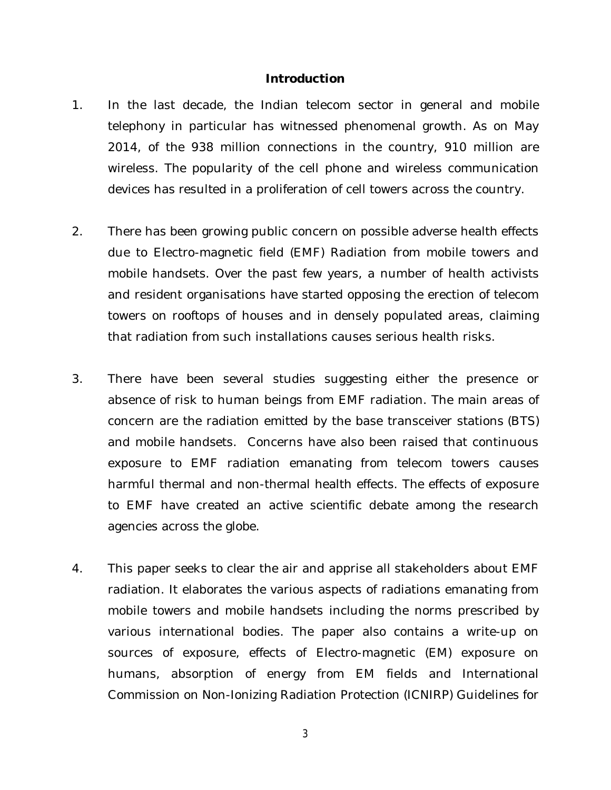#### **Introduction**

- 1. In the last decade, the Indian telecom sector in general and mobile telephony in particular has witnessed phenomenal growth. As on May 2014, of the 938 million connections in the country, 910 million are wireless. The popularity of the cell phone and wireless communication devices has resulted in a proliferation of cell towers across the country.
- 2. There has been growing public concern on possible adverse health effects due to Electro-magnetic field (EMF) Radiation from mobile towers and mobile handsets. Over the past few years, a number of health activists and resident organisations have started opposing the erection of telecom towers on rooftops of houses and in densely populated areas, claiming that radiation from such installations causes serious health risks.
- 3. There have been several studies suggesting either the presence or absence of risk to human beings from EMF radiation. The main areas of concern are the radiation emitted by the base transceiver stations (BTS) and mobile handsets. Concerns have also been raised that continuous exposure to EMF radiation emanating from telecom towers causes harmful thermal and non-thermal health effects. The effects of exposure to EMF have created an active scientific debate among the research agencies across the globe.
- 4. This paper seeks to clear the air and apprise all stakeholders about EMF radiation. It elaborates the various aspects of radiations emanating from mobile towers and mobile handsets including the norms prescribed by various international bodies. The paper also contains a write-up on sources of exposure, effects of Electro-magnetic (EM) exposure on humans, absorption of energy from EM fields and International Commission on Non-Ionizing Radiation Protection (ICNIRP) Guidelines for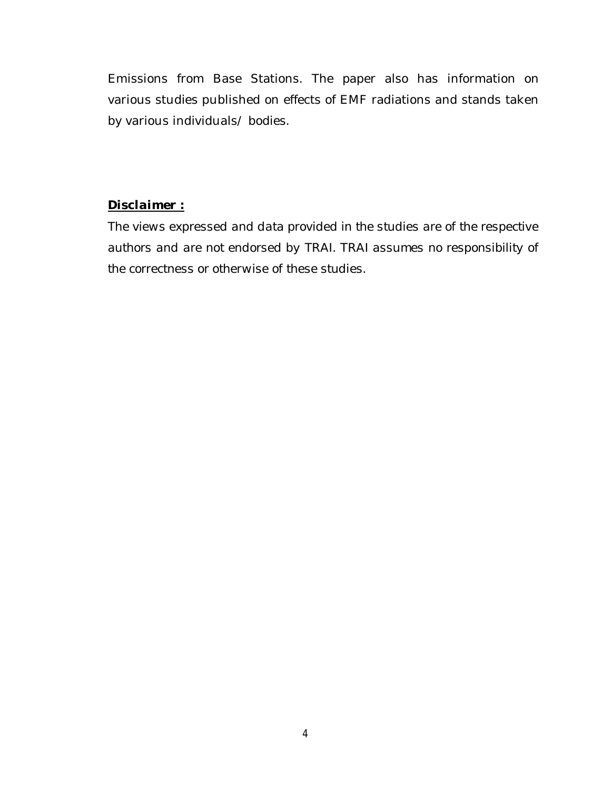Emissions from Base Stations. The paper also has information on various studies published on effects of EMF radiations and stands taken by various individuals/ bodies.

#### *Disclaimer :*

*The views expressed and data provided in the studies are of the respective authors and are not endorsed by TRAI. TRAI assumes no responsibility of the correctness or otherwise of these studies.*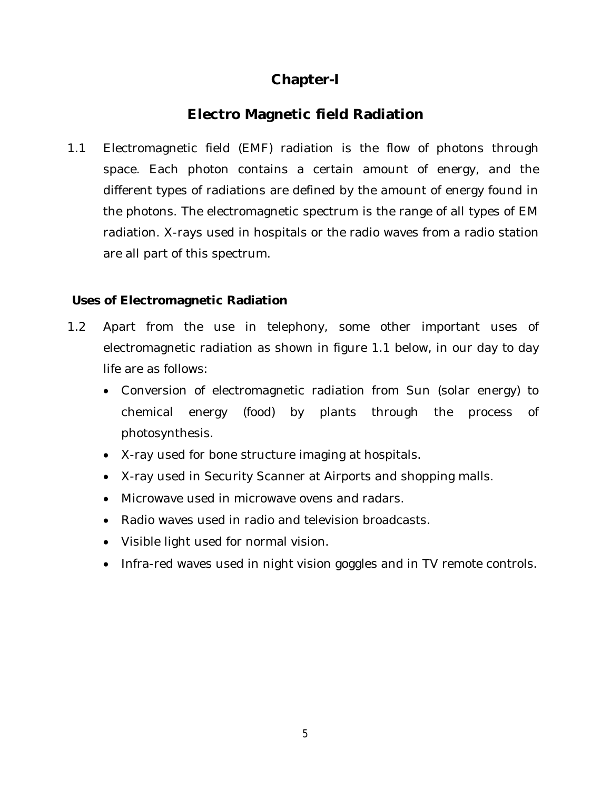# **Chapter-I**

# **Electro Magnetic field Radiation**

1.1 Electromagnetic field (EMF) radiation is the flow of photons through space. Each photon contains a certain amount of energy, and the different types of radiations are defined by the amount of energy found in the photons. The electromagnetic spectrum is the range of all types of EM radiation. X-rays used in hospitals or the radio waves from a radio station are all part of this spectrum.

#### **Uses of Electromagnetic Radiation**

- 1.2 Apart from the use in telephony, some other important uses of electromagnetic radiation as shown in figure 1.1 below, in our day to day life are as follows:
	- Conversion of electromagnetic radiation from Sun (solar energy) to chemical energy (food) by plants through the process of photosynthesis.
	- X-ray used for bone structure imaging at hospitals.
	- X-ray used in Security Scanner at Airports and shopping malls.
	- Microwave used in microwave ovens and radars.
	- Radio waves used in radio and television broadcasts.
	- Visible light used for normal vision.
	- Infra-red waves used in night vision goggles and in TV remote controls.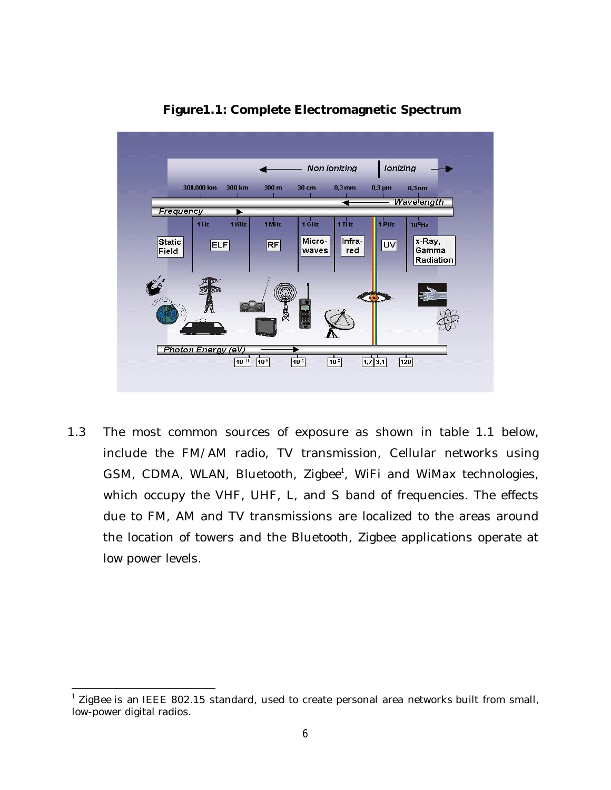

**Figure1.1: Complete Electromagnetic Spectrum**

1.3 The most common sources of exposure as shown in table 1.1 below, include the FM/AM radio, TV transmission, Cellular networks using GSM, CDMA, WLAN, Bluetooth, Zigbee<sup>1</sup>, WiFi and WiMax technologies, which occupy the VHF, UHF, L, and S band of frequencies. The effects due to FM, AM and TV transmissions are localized to the areas around the location of towers and the Bluetooth, Zigbee applications operate at low power levels.

 1 ZigBee is an IEEE 802.15 standard, used to create personal area networks built from small, low-power digital radios.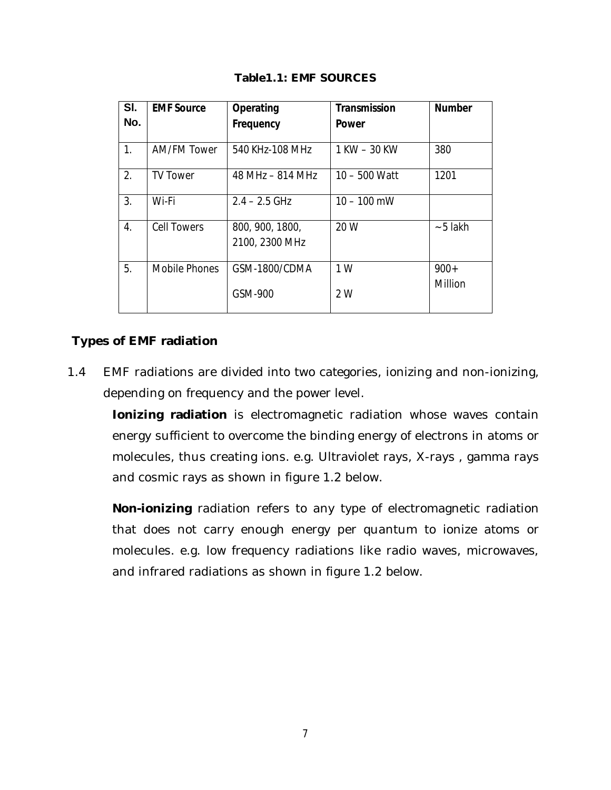| SI.<br>No. | <b>EMF Source</b>  | Operating<br>Frequency            | <b>Transmission</b><br><b>Power</b> | <b>Number</b> |
|------------|--------------------|-----------------------------------|-------------------------------------|---------------|
| 1.         | AM/FM Tower        | 540 KHz-108 MHz                   | 1 KW - 30 KW                        | 380           |
| 2.         | <b>TV Tower</b>    | 48 MHz - 814 MHz                  | 10 - 500 Watt                       | 1201          |
| 3.         | Wi-Fi              | $2.4 - 2.5$ GHz                   | $10 - 100$ mW                       |               |
| 4.         | <b>Cell Towers</b> | 800, 900, 1800,<br>2100, 2300 MHz | 20 W                                | $~5$ lakh     |
| 5.         | Mobile Phones      | GSM-1800/CDMA                     | 1 W                                 | $900+$        |
|            |                    | GSM-900                           | 2 W                                 | Million       |

**Table1.1: EMF SOURCES**

#### **Types of EMF radiation**

1.4 EMF radiations are divided into two categories, ionizing and non-ionizing, depending on frequency and the power level.

**Ionizing radiation** is electromagnetic radiation whose waves contain energy sufficient to overcome the binding energy of electrons in atoms or molecules, thus creating ions. e.g. Ultraviolet rays, X-rays , gamma rays and cosmic rays as shown in figure 1.2 below.

**Non-ionizing** radiation refers to any type of electromagnetic radiation that does not carry enough energy per quantum to ionize atoms or molecules. e.g. low frequency radiations like radio waves, microwaves, and infrared radiations as shown in figure 1.2 below.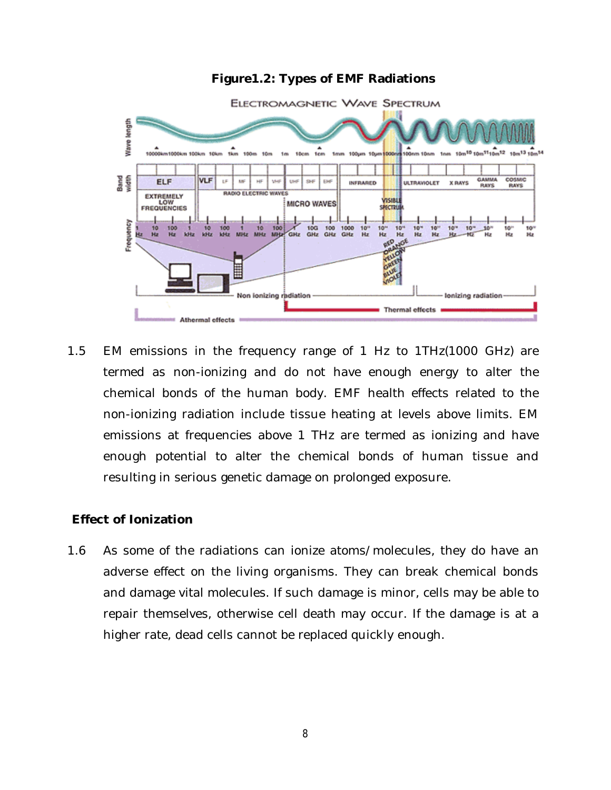#### **Figure1.2: Types of EMF Radiations**



1.5 EM emissions in the frequency range of 1 Hz to 1THz(1000 GHz) are termed as non-ionizing and do not have enough energy to alter the chemical bonds of the human body. EMF health effects related to the non-ionizing radiation include tissue heating at levels above limits. EM emissions at frequencies above 1 THz are termed as ionizing and have enough potential to alter the chemical bonds of human tissue and resulting in serious genetic damage on prolonged exposure.

#### **Effect of Ionization**

1.6 As some of the radiations can ionize atoms/molecules, they do have an adverse effect on the living organisms. They can break chemical bonds and damage vital molecules. If such damage is minor, cells may be able to repair themselves, otherwise cell death may occur. If the damage is at a higher rate, dead cells cannot be replaced quickly enough.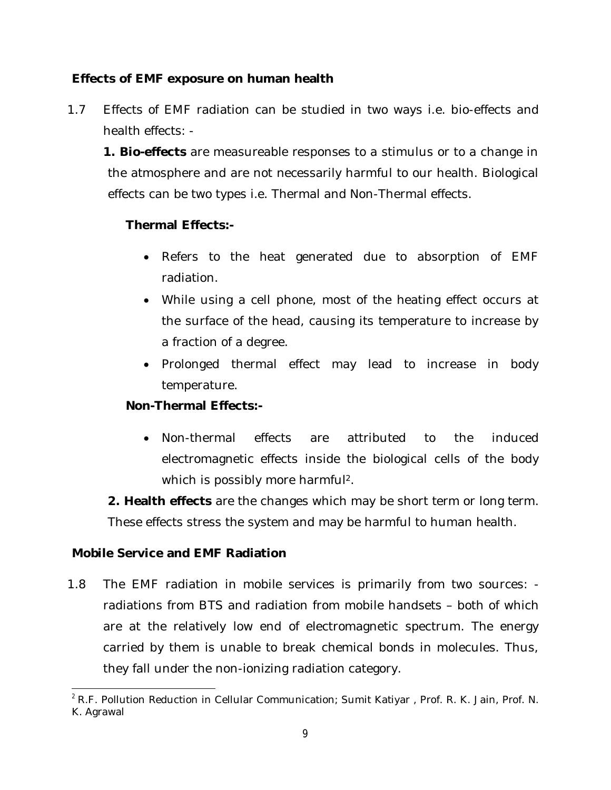#### **Effects of EMF exposure on human health**

1.7 Effects of EMF radiation can be studied in two ways i.e. bio-effects and health effects: -

**1. Bio-effects** are measureable responses to a stimulus or to a change in the atmosphere and are not necessarily harmful to our health. Biological effects can be two types i.e. Thermal and Non-Thermal effects.

## **Thermal Effects:-**

- Refers to the heat generated due to absorption of EMF radiation.
- While using a cell phone, most of the heating effect occurs at the surface of the head, causing its temperature to increase by a fraction of a degree.
- Prolonged thermal effect may lead to increase in body temperature.

#### **Non-Thermal Effects:-**

 Non-thermal effects are attributed to the induced electromagnetic effects inside the biological cells of the body which is possibly more harmful<sup>2</sup>.

**2. Health effects** are the changes which may be short term or long term. These effects stress the system and may be harmful to human health.

#### **Mobile Service and EMF Radiation**

1.8 The EMF radiation in mobile services is primarily from two sources: radiations from BTS and radiation from mobile handsets – both of which are at the relatively low end of electromagnetic spectrum. The energy carried by them is unable to break chemical bonds in molecules. Thus, they fall under the non-ionizing radiation category.

 $\overline{a}$  $^2$  R.F. Pollution Reduction in Cellular Communication; Sumit Katiyar , Prof. R. K. Jain, Prof. N. K. Agrawal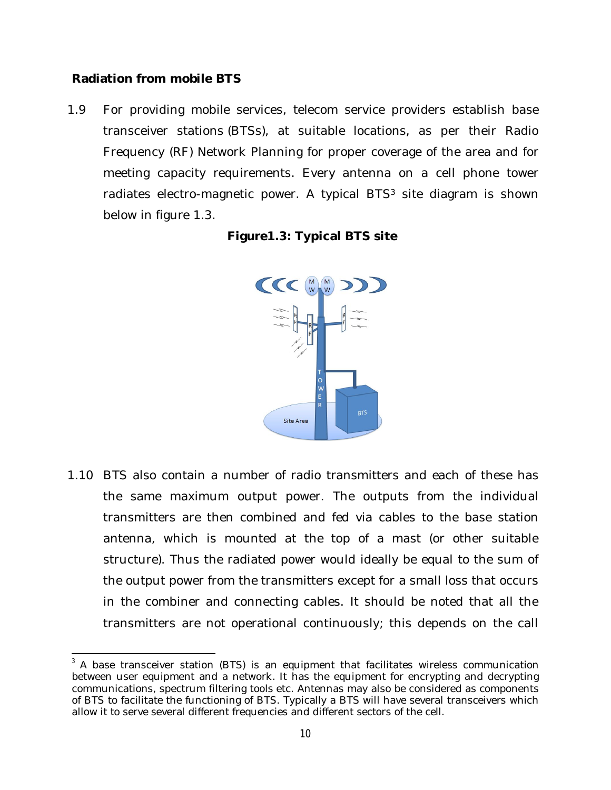#### **Radiation from mobile BTS**

1.9 For providing mobile services, telecom service providers establish base transceiver stations (BTSs), at suitable locations, as per their Radio Frequency (RF) Network Planning for proper coverage of the area and for meeting capacity requirements. Every antenna on a cell phone tower radiates electro-magnetic power. A typical BTS<sup>3</sup> site diagram is shown below in figure 1.3.

| Figure1.3: Typical BTS site |  |  |  |
|-----------------------------|--|--|--|
|-----------------------------|--|--|--|



1.10 BTS also contain a number of radio transmitters and each of these has the same maximum output power. The outputs from the individual transmitters are then combined and fed via cables to the base station antenna, which is mounted at the top of a mast (or other suitable structure). Thus the radiated power would ideally be equal to the sum of the output power from the transmitters except for a small loss that occurs in the combiner and connecting cables. It should be noted that all the transmitters are not operational continuously; this depends on the call

 $\overline{\phantom{a}}$  $3$  A base transceiver station (BTS) is an equipment that facilitates wireless communication between user equipment and a network. It has the equipment for encrypting and decrypting communications, spectrum filtering tools etc. Antennas may also be considered as components of BTS to facilitate the functioning of BTS. Typically a BTS will have several transceivers which allow it to serve several different frequencies and different sectors of the cell.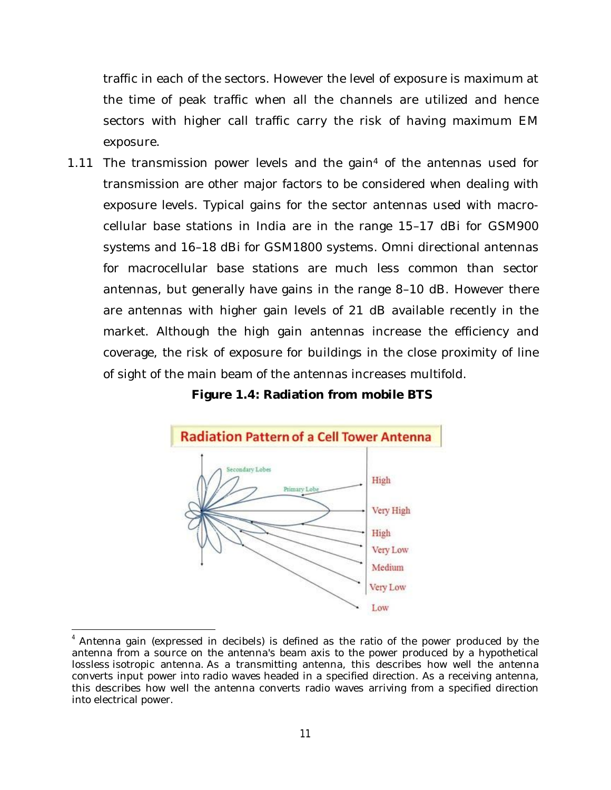traffic in each of the sectors. However the level of exposure is maximum at the time of peak traffic when all the channels are utilized and hence sectors with higher call traffic carry the risk of having maximum EM exposure.

1.11 The transmission power levels and the gain<sup>4</sup> of the antennas used for transmission are other major factors to be considered when dealing with exposure levels. Typical gains for the sector antennas used with macrocellular base stations in India are in the range 15–17 dBi for GSM900 systems and 16–18 dBi for GSM1800 systems. Omni directional antennas for macrocellular base stations are much less common than sector antennas, but generally have gains in the range 8–10 dB. However there are antennas with higher gain levels of 21 dB available recently in the market. Although the high gain antennas increase the efficiency and coverage, the risk of exposure for buildings in the close proximity of line of sight of the main beam of the antennas increases multifold.

#### **Figure 1.4: Radiation from mobile BTS**



 $4$  Antenna gain (expressed in decibels) is defined as the ratio of the power produced by the antenna from a source on the antenna's beam axis to the power produced by a hypothetical lossless isotropic antenna. As a transmitting antenna, this describes how well the antenna converts input power into radio waves headed in a specified direction. As a receiving antenna, this describes how well the antenna converts radio waves arriving from a specified direction into electrical power.

 $\overline{\phantom{a}}$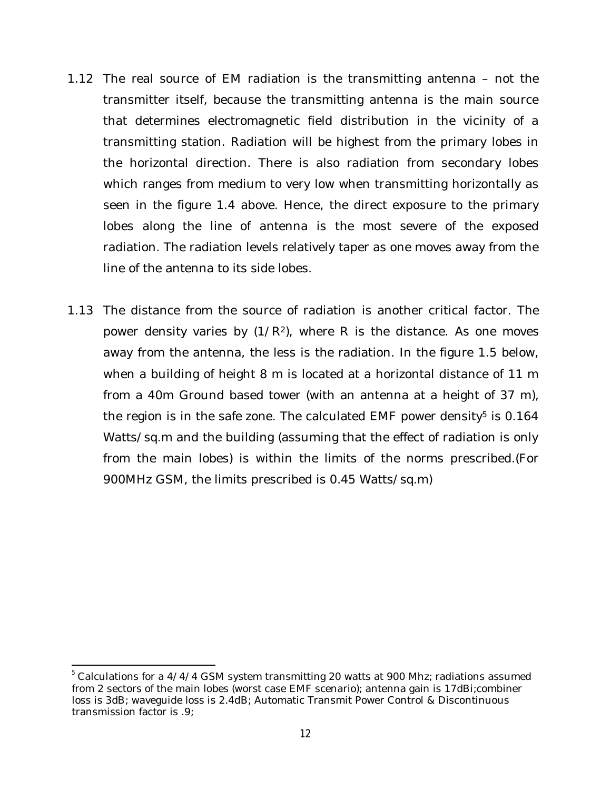- 1.12 The real source of EM radiation is the transmitting antenna not the transmitter itself, because the transmitting antenna is the main source that determines electromagnetic field distribution in the vicinity of a transmitting station. Radiation will be highest from the primary lobes in the horizontal direction. There is also radiation from secondary lobes which ranges from medium to very low when transmitting horizontally as seen in the figure 1.4 above. Hence, the direct exposure to the primary lobes along the line of antenna is the most severe of the exposed radiation. The radiation levels relatively taper as one moves away from the line of the antenna to its side lobes.
- 1.13 The distance from the source of radiation is another critical factor. The power density varies by  $(1/R<sup>2</sup>)$ , where R is the distance. As one moves away from the antenna, the less is the radiation. In the figure 1.5 below, when a building of height 8 m is located at a horizontal distance of 11 m from a 40m Ground based tower (with an antenna at a height of 37 m), the region is in the safe zone. The calculated EMF power density<sup>5</sup> is  $0.164$ Watts/sq.m and the building (assuming that the effect of radiation is only from the main lobes) is within the limits of the norms prescribed.(For 900MHz GSM, the limits prescribed is 0.45 Watts/sq.m)

 $\overline{a}$ 

<sup>&</sup>lt;sup>5</sup> Calculations for a 4/4/4 GSM system transmitting 20 watts at 900 Mhz; radiations assumed from 2 sectors of the main lobes (worst case EMF scenario); antenna gain is 17dBi;combiner loss is 3dB; waveguide loss is 2.4dB; Automatic Transmit Power Control & Discontinuous transmission factor is .9;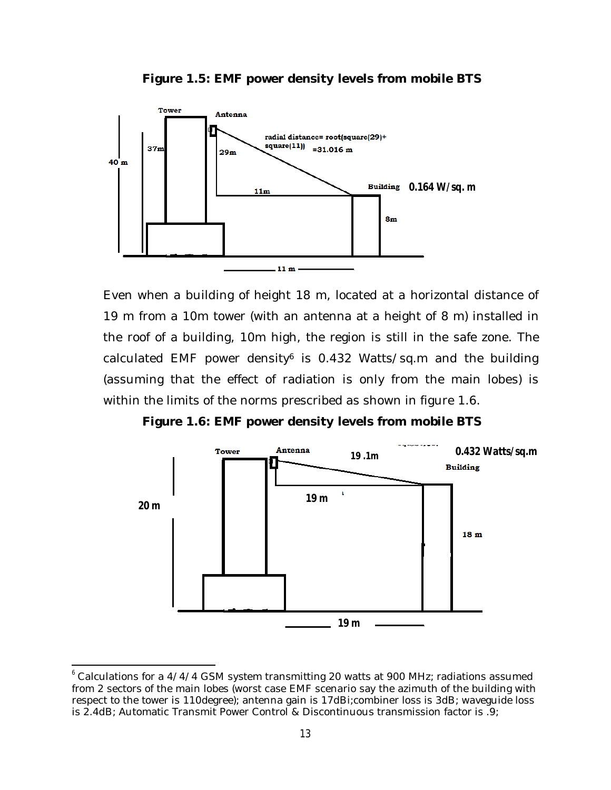

**Figure 1.5: EMF power density levels from mobile BTS**

Even when a building of height 18 m, located at a horizontal distance of 19 m from a 10m tower (with an antenna at a height of 8 m) installed in the roof of a building, 10m high, the region is still in the safe zone. The calculated EMF power density<sup>6</sup> is 0.432 Watts/sq.m and the building (assuming that the effect of radiation is only from the main lobes) is within the limits of the norms prescribed as shown in figure 1.6.

**Figure 1.6: EMF power density levels from mobile BTS**



<sup>&</sup>lt;sup>6</sup> Calculations for a 4/4/4 GSM system transmitting 20 watts at 900 MHz; radiations assumed from 2 sectors of the main lobes (worst case EMF scenario say the azimuth of the building with respect to the tower is 110degree); antenna gain is 17dBi;combiner loss is 3dB; waveguide loss is 2.4dB; Automatic Transmit Power Control & Discontinuous transmission factor is .9;

 $\overline{a}$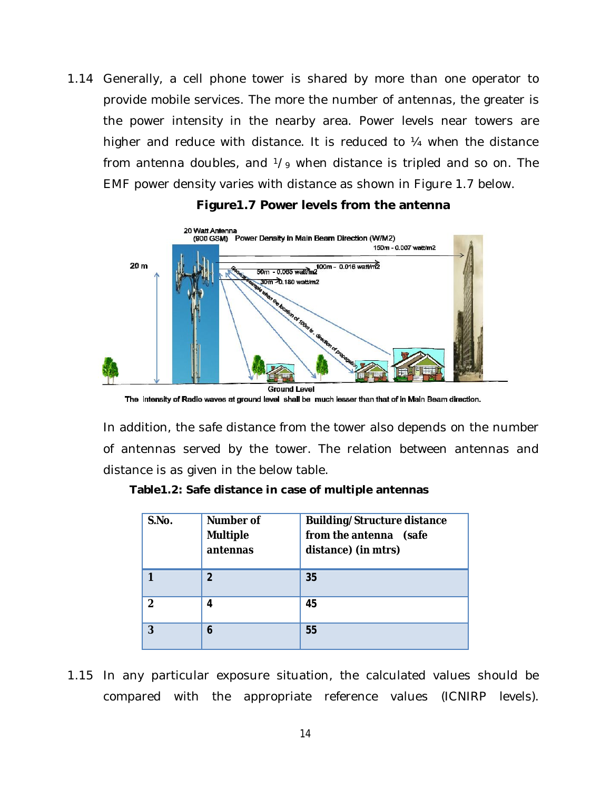1.14 Generally, a cell phone tower is shared by more than one operator to provide mobile services. The more the number of antennas, the greater is the power intensity in the nearby area. Power levels near towers are higher and reduce with distance. It is reduced to 1/4 when the distance from antenna doubles, and  $\frac{1}{9}$  when distance is tripled and so on. The EMF power density varies with distance as shown in Figure 1.7 below.



#### **Figure1.7 Power levels from the antenna**

In addition, the safe distance from the tower also depends on the number of antennas served by the tower. The relation between antennas and distance is as given in the below table.

| Table 1.2: Safe distance in case of multiple antennas |  |  |  |  |
|-------------------------------------------------------|--|--|--|--|
|-------------------------------------------------------|--|--|--|--|

| S.No. | <b>Number of</b><br><b>Multiple</b><br>antennas | <b>Building/Structure distance</b><br>from the antenna (safe<br>distance) (in mtrs) |
|-------|-------------------------------------------------|-------------------------------------------------------------------------------------|
|       | $\boldsymbol{\mathcal{P}}$                      | 35                                                                                  |
| 2     | 4                                               | 45                                                                                  |
| 3     | 6                                               | 55                                                                                  |

1.15 In any particular exposure situation, the calculated values should be compared with the appropriate reference values (ICNIRP levels).

The intensity of Radio waves at ground level shall be much lesser than that of in Main Beam direction.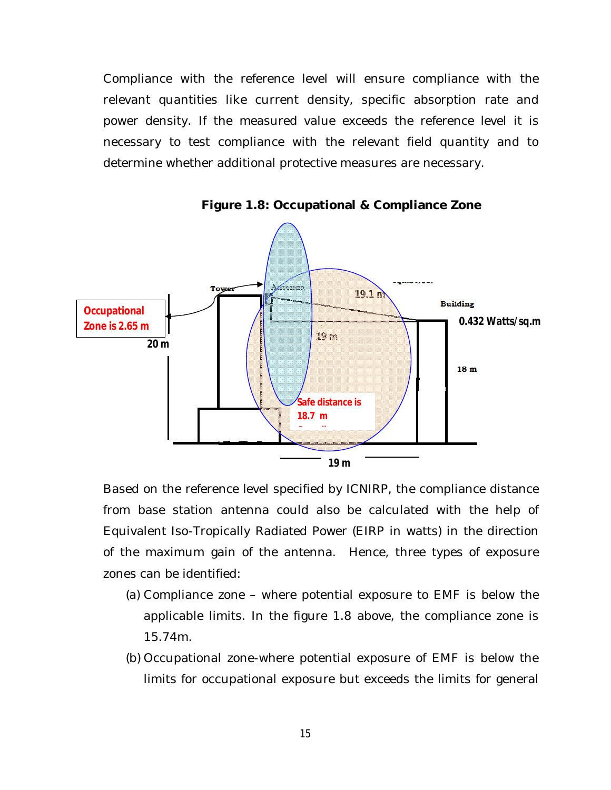Compliance with the reference level will ensure compliance with the relevant quantities like current density, specific absorption rate and power density. If the measured value exceeds the reference level it is necessary to test compliance with the relevant field quantity and to determine whether additional protective measures are necessary.



**Figure 1.8: Occupational & Compliance Zone**

Based on the reference level specified by ICNIRP, the compliance distance from base station antenna could also be calculated with the help of Equivalent Iso-Tropically Radiated Power (EIRP in watts) in the direction of the maximum gain of the antenna. Hence, three types of exposure zones can be identified:

- (a) Compliance zone where potential exposure to EMF is below the applicable limits. In the figure 1.8 above, the compliance zone is 15.74m.
- (b) Occupational zone-where potential exposure of EMF is below the limits for occupational exposure but exceeds the limits for general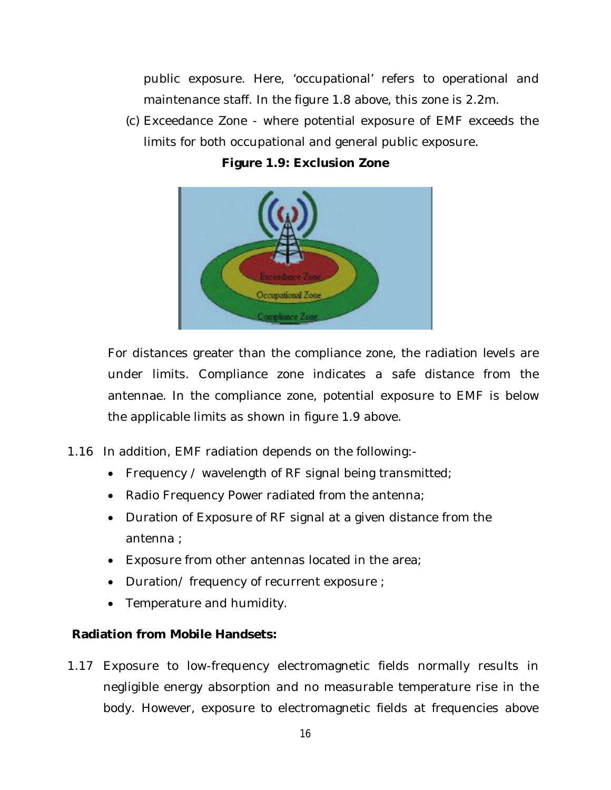public exposure. Here, 'occupational' refers to operational and maintenance staff. In the figure 1.8 above, this zone is 2.2m.

(c) Exceedance Zone - where potential exposure of EMF exceeds the limits for both occupational and general public exposure.



**Figure 1.9: Exclusion Zone**

For distances greater than the compliance zone, the radiation levels are under limits. Compliance zone indicates a safe distance from the antennae. In the compliance zone, potential exposure to EMF is below the applicable limits as shown in figure 1.9 above.

- 1.16 In addition, EMF radiation depends on the following:-
	- Frequency / wavelength of RF signal being transmitted;
	- Radio Frequency Power radiated from the antenna;
	- Duration of Exposure of RF signal at a given distance from the antenna ;
	- Exposure from other antennas located in the area;
	- Duration/ frequency of recurrent exposure ;
	- Temperature and humidity.

#### **Radiation from Mobile Handsets:**

1.17 Exposure to low-frequency electromagnetic fields normally results in negligible energy absorption and no measurable temperature rise in the body. However, exposure to electromagnetic fields at frequencies above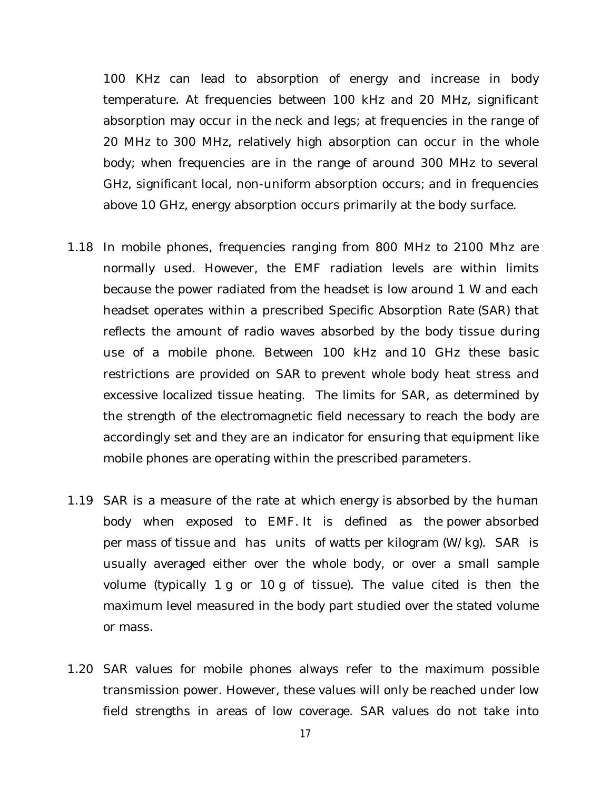100 KHz can lead to absorption of energy and increase in body temperature. At frequencies between 100 kHz and 20 MHz, significant absorption may occur in the neck and legs; at frequencies in the range of 20 MHz to 300 MHz, relatively high absorption can occur in the whole body; when frequencies are in the range of around 300 MHz to several GHz, significant local, non-uniform absorption occurs; and in frequencies above 10 GHz, energy absorption occurs primarily at the body surface.

- 1.18 In mobile phones, frequencies ranging from 800 MHz to 2100 Mhz are normally used. However, the EMF radiation levels are within limits because the power radiated from the headset is low around 1 W and each headset operates within a prescribed Specific Absorption Rate (SAR) that reflects the amount of radio waves absorbed by the body tissue during use of a mobile phone. Between 100 kHz and 10 GHz these basic restrictions are provided on SAR to prevent whole body heat stress and excessive localized tissue heating. The limits for SAR, as determined by the strength of the electromagnetic field necessary to reach the body are accordingly set and they are an indicator for ensuring that equipment like mobile phones are operating within the prescribed parameters.
- 1.19 SAR is a measure of the rate at which energy is absorbed by the human body when exposed to EMF. It is defined as the power absorbed per mass of tissue and has units of watts per kilogram (W/kg). SAR is usually averaged either over the whole body, or over a small sample volume (typically 1 g or 10 g of tissue). The value cited is then the maximum level measured in the body part studied over the stated volume or mass.
- 1.20 SAR values for mobile phones always refer to the maximum possible transmission power. However, these values will only be reached under low field strengths in areas of low coverage. SAR values do not take into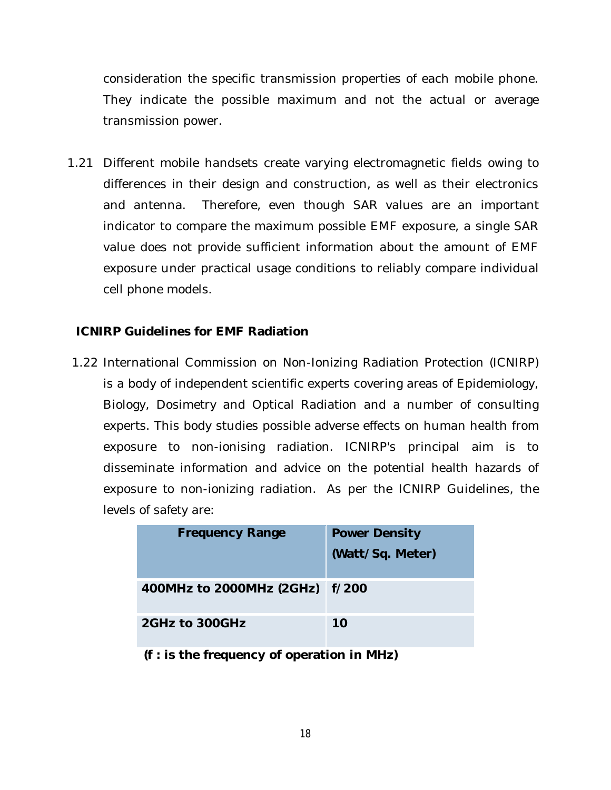consideration the specific transmission properties of each mobile phone. They indicate the possible maximum and not the actual or average transmission power.

1.21 Different mobile handsets create varying electromagnetic fields owing to differences in their design and construction, as well as their electronics and antenna. Therefore, even though SAR values are an important indicator to compare the maximum possible EMF exposure, a single SAR value does not provide sufficient information about the amount of EMF exposure under practical usage conditions to reliably compare individual cell phone models.

#### **ICNIRP Guidelines for EMF Radiation**

1.22 International Commission on Non-Ionizing Radiation Protection (ICNIRP) is a body of independent scientific experts covering areas of Epidemiology, Biology, Dosimetry and Optical Radiation and a number of consulting experts. This body studies possible adverse effects on human health from exposure to non-ionising radiation. ICNIRP's principal aim is to disseminate information and advice on the potential health hazards of exposure to non-ionizing radiation. As per the ICNIRP Guidelines, the levels of safety are:

| <b>Frequency Range</b>         | <b>Power Density</b><br>(Watt/Sq. Meter) |
|--------------------------------|------------------------------------------|
| 400MHz to 2000MHz (2GHz) f/200 |                                          |
| 2GHz to 300GHz                 | 10                                       |

**(f : is the frequency of operation in MHz)**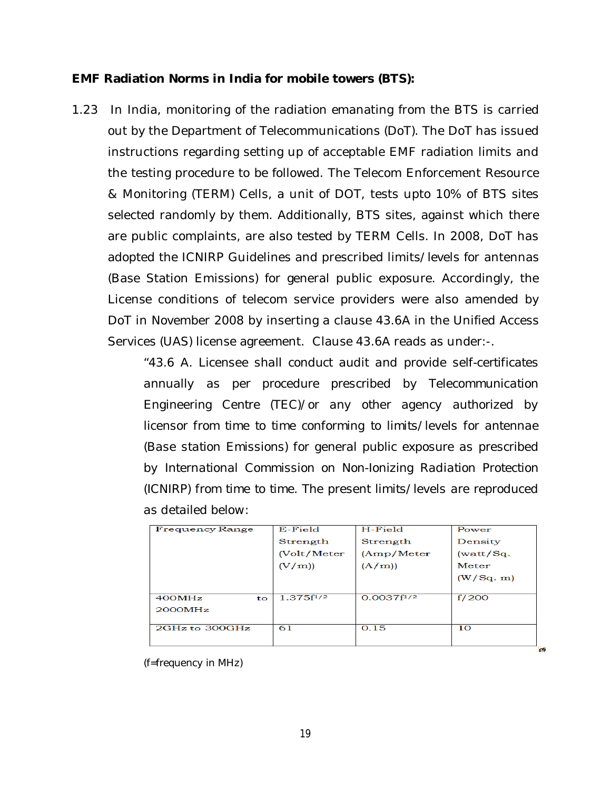#### **EMF Radiation Norms in India for mobile towers (BTS):**

1.23 In India, monitoring of the radiation emanating from the BTS is carried out by the Department of Telecommunications (DoT). The DoT has issued instructions regarding setting up of acceptable EMF radiation limits and the testing procedure to be followed. The Telecom Enforcement Resource & Monitoring (TERM) Cells, a unit of DOT, tests upto 10% of BTS sites selected randomly by them. Additionally, BTS sites, against which there are public complaints, are also tested by TERM Cells. In 2008, DoT has adopted the ICNIRP Guidelines and prescribed limits/levels for antennas (Base Station Emissions) for general public exposure. Accordingly, the License conditions of telecom service providers were also amended by DoT in November 2008 by inserting a clause 43.6A in the Unified Access Services (UAS) license agreement. Clause 43.6A reads as under:-.

> "*43.6 A. Licensee shall conduct audit and provide self-certificates annually as per procedure prescribed by Telecommunication Engineering Centre (TEC)/or any other agency authorized by licensor from time to time conforming to limits/levels for antennae (Base station Emissions) for general public exposure as prescribed by International Commission on Non-Ionizing Radiation Protection (ICNIRP) from time to time. The present limits/levels are reproduced as detailed below:*

| <b>Frequency Range</b> | E-Field        | H-Field         | Power     |
|------------------------|----------------|-----------------|-----------|
|                        | Strength       | Strength        | Density   |
|                        | (Volt/Meter    | (Amp/Meter)     | (watt/Sq. |
|                        | (V/m)          | (A/m)           | Meter     |
|                        |                |                 | (W/Sq. m) |
|                        |                |                 |           |
| 400MHz<br>to           | $1.375f^{1/2}$ | $0.0037f^{1/2}$ | f/200     |
| 2000MHz                |                |                 |           |
|                        |                |                 |           |
| $2GHz$ to $300GHz$     | 61             | 0.15            | 10        |
|                        |                |                 |           |

禸

*(f=frequency in MHz)*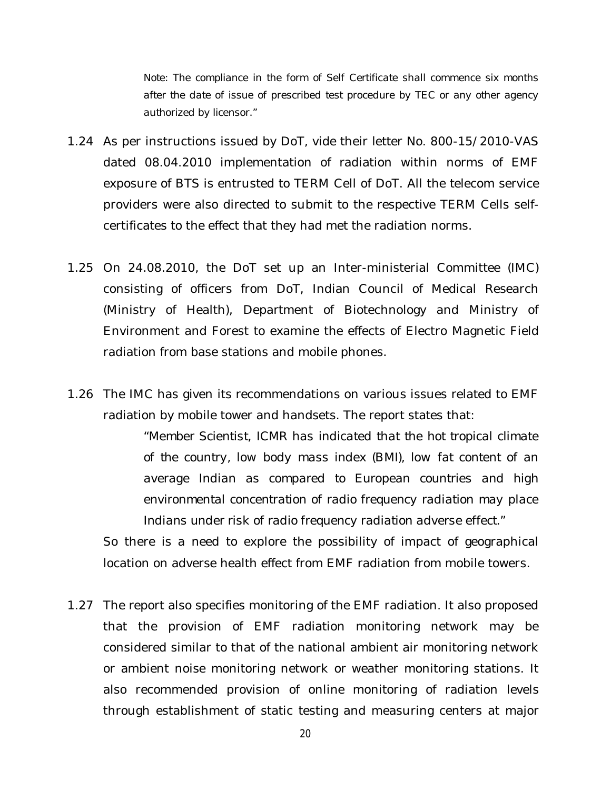*Note: The compliance in the form of Self Certificate shall commence six months after the date of issue of prescribed test procedure by TEC or any other agency authorized by licensor."*

- 1.24 As per instructions issued by DoT, vide their letter No. 800-15/2010-VAS dated 08.04.2010 implementation of radiation within norms of EMF exposure of BTS is entrusted to TERM Cell of DoT. All the telecom service providers were also directed to submit to the respective TERM Cells selfcertificates to the effect that they had met the radiation norms.
- 1.25 On 24.08.2010, the DoT set up an Inter-ministerial Committee (IMC) consisting of officers from DoT, Indian Council of Medical Research (Ministry of Health), Department of Biotechnology and Ministry of Environment and Forest to examine the effects of Electro Magnetic Field radiation from base stations and mobile phones.
- 1.26 The IMC has given its recommendations on various issues related to EMF radiation by mobile tower and handsets. The report states that:

*"Member Scientist, ICMR has indicated that the hot tropical climate of the country, low body mass index (BMI), low fat content of an average Indian as compared to European countries and high environmental concentration of radio frequency radiation may place Indians under risk of radio frequency radiation adverse effect."*

So there is a need to explore the possibility of impact of geographical location on adverse health effect from EMF radiation from mobile towers.

1.27 The report also specifies monitoring of the EMF radiation. It also proposed that the provision of EMF radiation monitoring network may be considered similar to that of the national ambient air monitoring network or ambient noise monitoring network or weather monitoring stations. It also recommended provision of online monitoring of radiation levels through establishment of static testing and measuring centers at major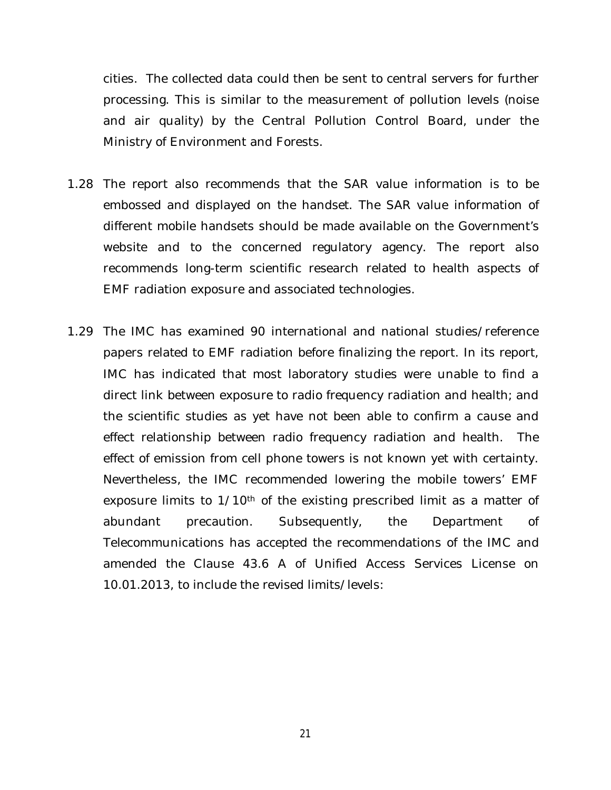cities. The collected data could then be sent to central servers for further processing. This is similar to the measurement of pollution levels (noise and air quality) by the Central Pollution Control Board, under the Ministry of Environment and Forests.

- 1.28 The report also recommends that the SAR value information is to be embossed and displayed on the handset. The SAR value information of different mobile handsets should be made available on the Government's website and to the concerned regulatory agency. The report also recommends long-term scientific research related to health aspects of EMF radiation exposure and associated technologies.
- 1.29 The IMC has examined 90 international and national studies/reference papers related to EMF radiation before finalizing the report. In its report, IMC has indicated that most laboratory studies were unable to find a direct link between exposure to radio frequency radiation and health; and the scientific studies as yet have not been able to confirm a cause and effect relationship between radio frequency radiation and health. The effect of emission from cell phone towers is not known yet with certainty. Nevertheless, the IMC recommended lowering the mobile towers' EMF exposure limits to 1/10<sup>th</sup> of the existing prescribed limit as a matter of abundant precaution. Subsequently, the Department of Telecommunications has accepted the recommendations of the IMC and amended the Clause 43.6 A of Unified Access Services License on 10.01.2013, to include the revised limits/levels: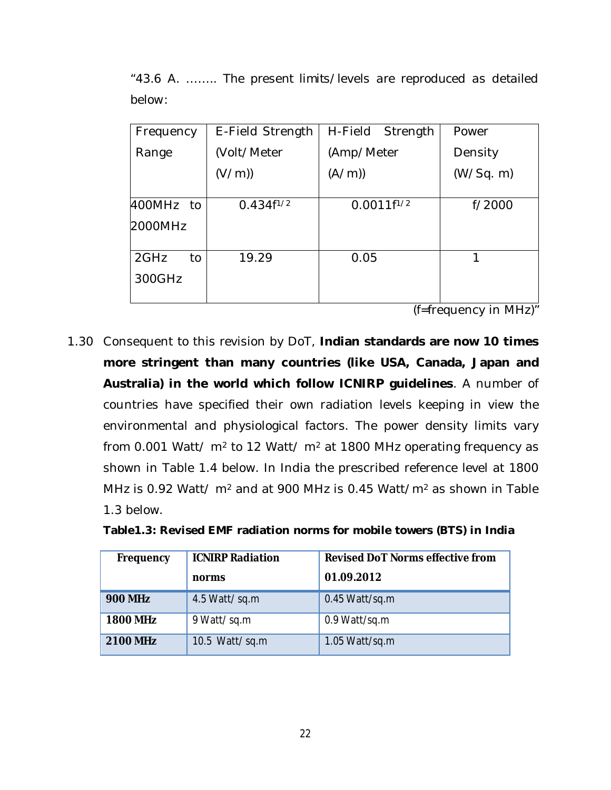*"43.6 A. …….. The present limits/levels are reproduced as detailed below:*

| Frequency  | E-Field Strength | H-Field Strength | Power     |
|------------|------------------|------------------|-----------|
| Range      | (Volt/Meter      | (Amp/Meter       | Density   |
|            | (V/m)            | (A/m)            | (W/Sq. m) |
| 400MHz to  | $0.434f^{1/2}$   | $0.0011f^{1/2}$  | f/2000    |
| 2000MHz    |                  |                  |           |
| 2GHz<br>to | 19.29            | 0.05             | 1         |
| 300GHz     |                  |                  |           |

(f=frequency in MHz)"

1.30 Consequent to this revision by DoT, **Indian standards are now 10 times more stringent than many countries (like USA, Canada, Japan and Australia) in the world which follow ICNIRP guidelines**. A number of countries have specified their own radiation levels keeping in view the environmental and physiological factors. The power density limits vary from 0.001 Watt/  $m<sup>2</sup>$  to 12 Watt/  $m<sup>2</sup>$  at 1800 MHz operating frequency as shown in Table 1.4 below. In India the prescribed reference level at 1800 MHz is 0.92 Watt/ m<sup>2</sup> and at 900 MHz is 0.45 Watt/m<sup>2</sup> as shown in Table 1.3 below.

| Frequency       | <b>ICNIRP Radiation</b> | <b>Revised DoT Norms effective from</b> |
|-----------------|-------------------------|-----------------------------------------|
|                 | norms                   | 01.09.2012                              |
| <b>900 MHz</b>  | 4.5 Watt/sq.m           | $0.45$ Watt/sq.m                        |
| <b>1800 MHz</b> | 9 Watt/sq.m             | 0.9 Watt/sq.m                           |
| <b>2100 MHz</b> | 10.5 Watt/sq.m          | 1.05 Watt/sq.m                          |

**Table1.3: Revised EMF radiation norms for mobile towers (BTS) in India**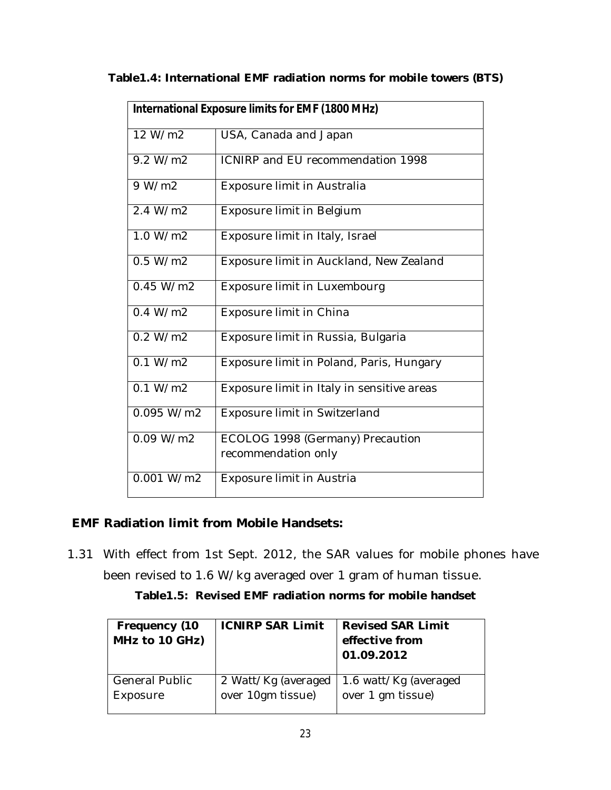| Table1.4: International EMF radiation norms for mobile towers (BTS) |  |  |  |
|---------------------------------------------------------------------|--|--|--|
|                                                                     |  |  |  |

|            | <b>International Exposure limits for EMF (1800 MHz)</b> |
|------------|---------------------------------------------------------|
| 12 W/m2    | USA, Canada and Japan                                   |
| 9.2 W/m2   | ICNIRP and EU recommendation 1998                       |
| 9 W/m2     | Exposure limit in Australia                             |
| 2.4 W/m2   | Exposure limit in Belgium                               |
| 1.0 W/m2   | Exposure limit in Italy, Israel                         |
| 0.5 W/m2   | Exposure limit in Auckland, New Zealand                 |
| 0.45 W/m2  | Exposure limit in Luxembourg                            |
| 0.4 W/m2   | Exposure limit in China                                 |
| 0.2 W/m2   | Exposure limit in Russia, Bulgaria                      |
| 0.1 W/m2   | Exposure limit in Poland, Paris, Hungary                |
| 0.1 W/m2   | Exposure limit in Italy in sensitive areas              |
| 0.095 W/m2 | Exposure limit in Switzerland                           |
| 0.09 W/m2  | ECOLOG 1998 (Germany) Precaution<br>recommendation only |
| 0.001 W/m2 | Exposure limit in Austria                               |

## **EMF Radiation limit from Mobile Handsets:**

1.31 With effect from 1st Sept. 2012, the SAR values for mobile phones have been revised to 1.6 W/kg averaged over 1 gram of human tissue.

| Table1.5: Revised EMF radiation norms for mobile handset |
|----------------------------------------------------------|
|                                                          |

| Frequency (10<br>MHz to 10 GHz) | <b>ICNIRP SAR Limit</b> | <b>Revised SAR Limit</b><br>effective from<br>01.09.2012 |
|---------------------------------|-------------------------|----------------------------------------------------------|
| <b>General Public</b>           | 2 Watt/Kg (averaged     | 1.6 watt/Kg (averaged                                    |
| Exposure                        | over 10gm tissue)       | over 1 gm tissue)                                        |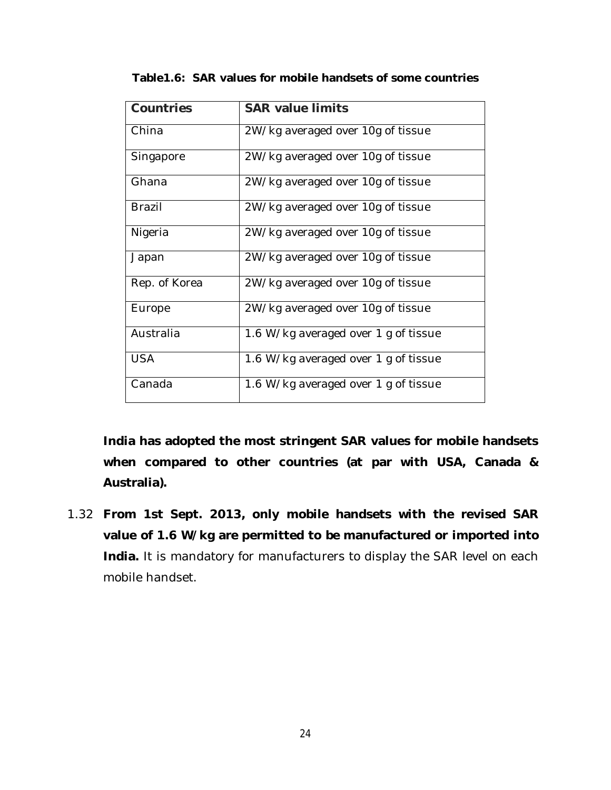| Countries     | <b>SAR value limits</b>              |
|---------------|--------------------------------------|
| China         | 2W/kg averaged over 10g of tissue    |
| Singapore     | 2W/kg averaged over 10g of tissue    |
| Ghana         | 2W/kg averaged over 10g of tissue    |
| <b>Brazil</b> | 2W/kg averaged over 10g of tissue    |
| Nigeria       | 2W/kg averaged over 10g of tissue    |
| Japan         | 2W/kg averaged over 10g of tissue    |
| Rep. of Korea | 2W/kg averaged over 10g of tissue    |
| Europe        | 2W/kg averaged over 10g of tissue    |
| Australia     | 1.6 W/kg averaged over 1 g of tissue |
| <b>USA</b>    | 1.6 W/kg averaged over 1 g of tissue |
| Canada        | 1.6 W/kg averaged over 1 g of tissue |

**Table1.6: SAR values for mobile handsets of some countries**

**India has adopted the most stringent SAR values for mobile handsets when compared to other countries (at par with USA, Canada & Australia).**

1.32 **From 1st Sept. 2013, only mobile handsets with the revised SAR value of 1.6 W/kg are permitted to be manufactured or imported into India.** It is mandatory for manufacturers to display the SAR level on each mobile handset.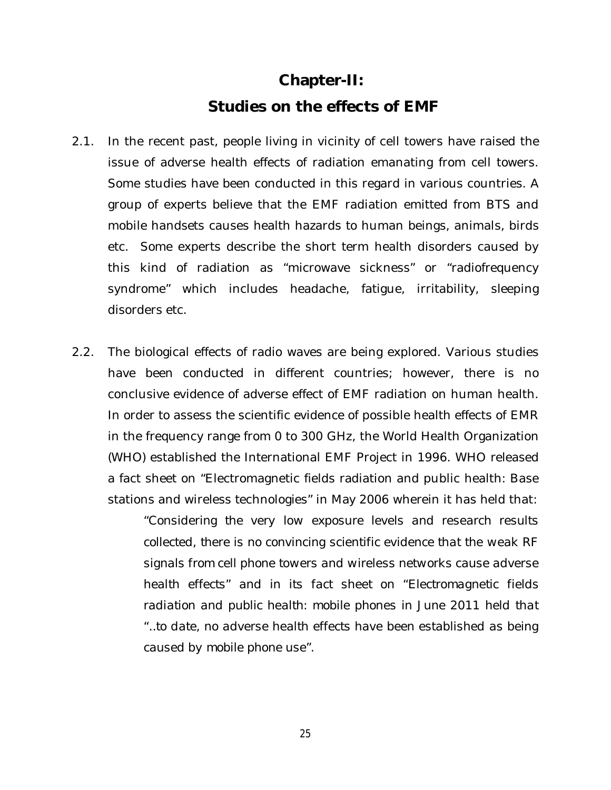# **Chapter-II: Studies on the effects of EMF**

- 2.1. In the recent past, people living in vicinity of cell towers have raised the issue of adverse health effects of radiation emanating from cell towers. Some studies have been conducted in this regard in various countries. A group of experts believe that the EMF radiation emitted from BTS and mobile handsets causes health hazards to human beings, animals, birds etc. Some experts describe the short term health disorders caused by this kind of radiation as "microwave sickness" or "radiofrequency syndrome" which includes headache, fatigue, irritability, sleeping disorders etc.
- 2.2. The biological effects of radio waves are being explored. Various studies have been conducted in different countries; however, there is no conclusive evidence of adverse effect of EMF radiation on human health. In order to assess the scientific evidence of possible health effects of EMR in the frequency range from 0 to 300 GHz, the World Health Organization (WHO) established the International EMF Project in 1996. WHO released a fact sheet on "Electromagnetic fields radiation and public health: Base stations and wireless technologies" in May 2006 wherein it has held that:

"*Considering the very low exposure levels and research results collected, there is no convincing scientific evidence that the weak RF signals from cell phone towers and wireless networks cause adverse health effects" and in its fact sheet on "Electromagnetic fields*  radiation and public health: mobile phones in June 2011 held that *"..to date, no adverse health effects have been established as being caused by mobile phone use*".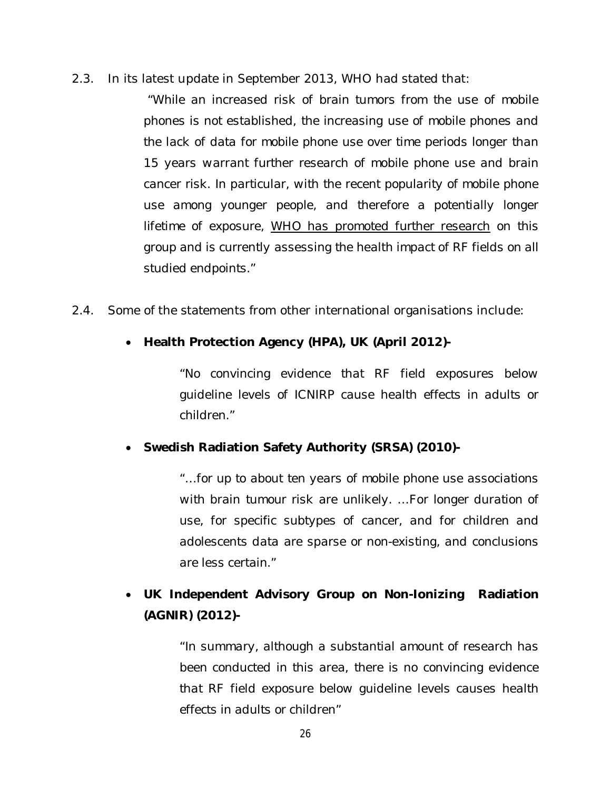*2.3.* In its latest update in September 2013, WHO had stated that:

*"While an increased risk of brain tumors from the use of mobile phones is not established, the increasing use of mobile phones and the lack of data for mobile phone use over time periods longer than 15 years warrant further research of mobile phone use and brain cancer risk. In particular, with the recent popularity of mobile phone use among younger people, and therefore a potentially longer lifetime of exposure, WHO has promoted further research on this group and is currently assessing the health impact of RF fields on all studied endpoints."*

- *2.4.* Some of the statements from other international organisations include:
	- **Health Protection Agency (HPA), UK (April 2012)-**

*"No convincing evidence that RF field exposures below guideline levels of ICNIRP cause health effects in adults or children."*

**Swedish Radiation Safety Authority (SRSA) (2010)-**

*"…for up to about ten years of mobile phone use associations with brain tumour risk are unlikely. …For longer duration of use, for specific subtypes of cancer, and for children and adolescents data are sparse or non-existing, and conclusions are less certain."*

 **UK Independent Advisory Group on Non-Ionizing Radiation (AGNIR) (2012)-**

> *"In summary, although a substantial amount of research has been conducted in this area, there is no convincing evidence that RF field exposure below guideline levels causes health effects in adults or children"*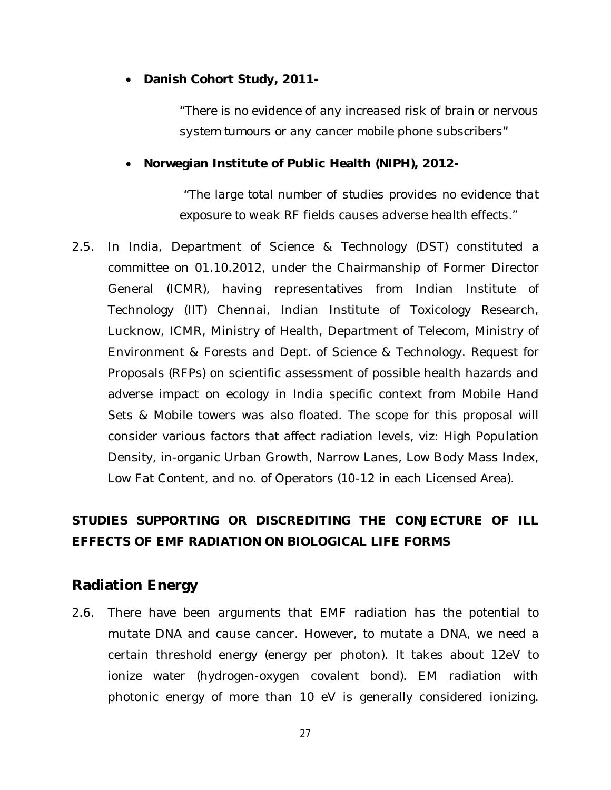**Danish Cohort Study, 2011-**

*"There is no evidence of any increased risk of brain or nervous system tumours or any cancer mobile phone subscribers"*

#### **Norwegian Institute of Public Health (NIPH), 2012-**

*"The large total number of studies provides no evidence that exposure to weak RF fields causes adverse health effects."*

2.5. In India, Department of Science & Technology (DST) constituted a committee on 01.10.2012, under the Chairmanship of Former Director General (ICMR), having representatives from Indian Institute of Technology (IIT) Chennai, Indian Institute of Toxicology Research, Lucknow, ICMR, Ministry of Health, Department of Telecom, Ministry of Environment & Forests and Dept. of Science & Technology. Request for Proposals (RFPs) on scientific assessment of possible health hazards and adverse impact on ecology in India specific context from Mobile Hand Sets & Mobile towers was also floated. The scope for this proposal will consider various factors that affect radiation levels, viz: High Population Density, in-organic Urban Growth, Narrow Lanes, Low Body Mass Index, Low Fat Content, and no. of Operators (10-12 in each Licensed Area).

# **STUDIES SUPPORTING OR DISCREDITING THE CONJECTURE OF ILL EFFECTS OF EMF RADIATION ON BIOLOGICAL LIFE FORMS**

## **Radiation Energy**

2.6. There have been arguments that EMF radiation has the potential to mutate DNA and cause cancer. However, to mutate a DNA, we need a certain threshold energy (energy per photon). It takes about 12eV to ionize water (hydrogen-oxygen covalent bond). EM radiation with photonic energy of more than 10 eV is generally considered ionizing.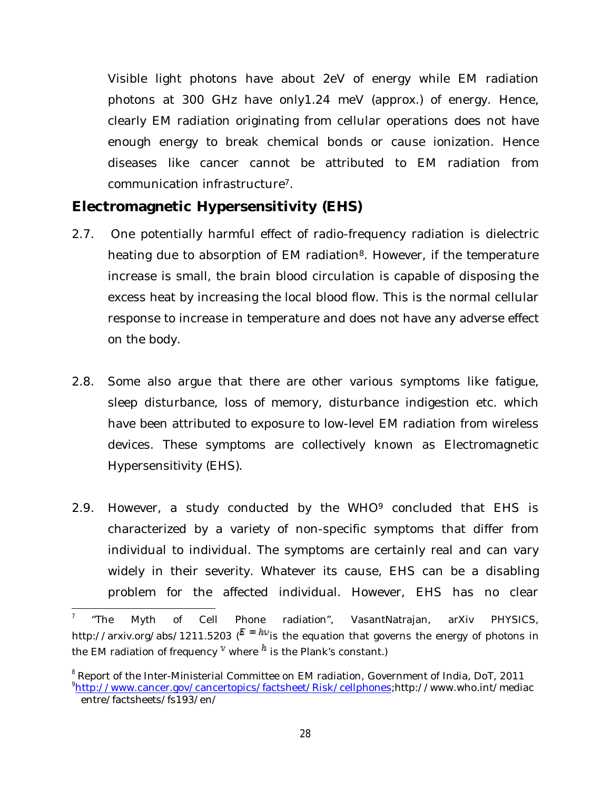Visible light photons have about 2eV of energy while EM radiation photons at 300 GHz have only1.24 meV (approx.) of energy. Hence, clearly EM radiation originating from cellular operations does not have enough energy to break chemical bonds or cause ionization. Hence diseases like cancer cannot be attributed to EM radiation from communication infrastructure<sup>7</sup>.

# **Electromagnetic Hypersensitivity (EHS)**

- 2.7. One potentially harmful effect of radio-frequency radiation is dielectric heating due to absorption of EM radiation<sup>8</sup>. However, if the temperature increase is small, the brain blood circulation is capable of disposing the excess heat by increasing the local blood flow. This is the normal cellular response to increase in temperature and does not have any adverse effect on the body.
- 2.8. Some also argue that there are other various symptoms like fatigue, sleep disturbance, loss of memory, disturbance indigestion etc. which have been attributed to exposure to low-level EM radiation from wireless devices. These symptoms are collectively known as Electromagnetic Hypersensitivity (EHS).
- 2.9. However, a study conducted by the WHO<sup>9</sup> concluded that EHS is characterized by a variety of non-specific symptoms that differ from individual to individual. The symptoms are certainly real and can vary widely in their severity. Whatever its cause, EHS can be a disabling problem for the affected individual. However, EHS has no clear

 $\overline{\phantom{a}}$ 7 "The Myth of Cell Phone radiation", VasantNatrajan, arXiv PHYSICS, http://arxiv.org/abs/1211.5203 ( $\bar{E} = h v$  is the equation that governs the energy of photons in the EM radiation of frequency  $V$  where  $h$  is the Plank's constant.)

<sup>&</sup>lt;sup>8</sup> Report of the Inter-Ministerial Committee on EM radiation, Government of India, DoT, 2011 9 http://www.cancer.gov/cancertopics/factsheet/Risk/cellphones;http://www.who.int/mediac entre/factsheets/fs193/en/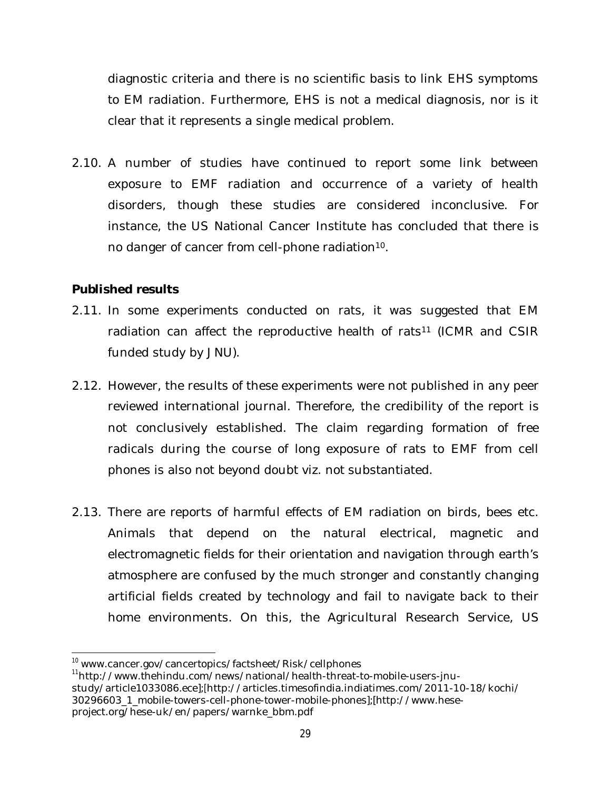diagnostic criteria and there is no scientific basis to link EHS symptoms to EM radiation. Furthermore, EHS is not a medical diagnosis, nor is it clear that it represents a single medical problem.

2.10. A number of studies have continued to report some link between exposure to EMF radiation and occurrence of a variety of health disorders, though these studies are considered inconclusive. For instance, the US National Cancer Institute has concluded that there is no danger of cancer from cell-phone radiation<sup>10</sup>.

#### **Published results**

- 2.11. In some experiments conducted on rats, it was suggested that EM radiation can affect the reproductive health of rats<sup>11</sup> (ICMR and CSIR funded study by JNU).
- 2.12. However, the results of these experiments were not published in any peer reviewed international journal. Therefore, the credibility of the report is not conclusively established. The claim regarding formation of free radicals during the course of long exposure of rats to EMF from cell phones is also not beyond doubt viz. not substantiated.
- 2.13. There are reports of harmful effects of EM radiation on birds, bees etc. Animals that depend on the natural electrical, magnetic and electromagnetic fields for their orientation and navigation through earth's atmosphere are confused by the much stronger and constantly changing artificial fields created by technology and fail to navigate back to their home environments. On this, the Agricultural Research Service, US

 $\overline{a}$ <sup>10</sup> www.cancer.gov/cancertopics/factsheet/Risk/cellphones

<sup>11</sup>http://www.thehindu.com/news/national/health-threat-to-mobile-users-jnustudy/article1033086.ece];[http://articles.timesofindia.indiatimes.com/2011-10-18/kochi/ 30296603\_1\_mobile-towers-cell-phone-tower-mobile-phones];[http://www.heseproject.org/hese-uk/en/papers/warnke\_bbm.pdf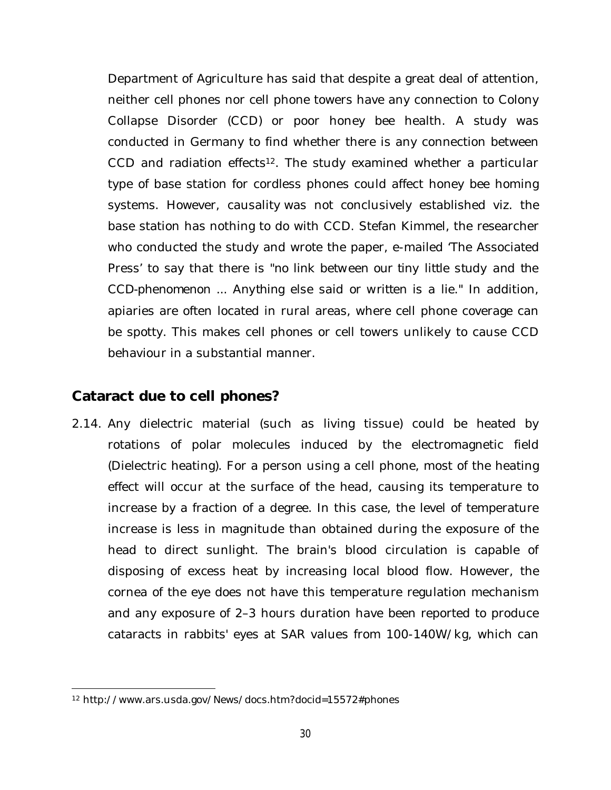Department of Agriculture has said that despite a great deal of attention, neither cell phones nor cell phone towers have any connection to Colony Collapse Disorder (CCD) or poor honey bee health. A study was conducted in Germany to find whether there is any connection between CCD and radiation effects<sup>12</sup>. The study examined whether a particular type of base station for cordless phones could affect honey bee homing systems. However, causality was not conclusively established viz. the base station has nothing to do with CCD. Stefan Kimmel, the researcher who conducted the study and wrote the paper, e-mailed 'The Associated Press' to say that there is "*no link between our tiny little study and the CCD-phenomenon ... Anything else said or written is a lie*." In addition, apiaries are often located in rural areas, where cell phone coverage can be spotty. This makes cell phones or cell towers unlikely to cause CCD behaviour in a substantial manner.

## **Cataract due to cell phones?**

2.14. Any dielectric material (such as living tissue) could be heated by rotations of polar molecules induced by the electromagnetic field (Dielectric heating). For a person using a cell phone, most of the heating effect will occur at the surface of the head, causing its temperature to increase by a fraction of a degree. In this case, the level of temperature increase is less in magnitude than obtained during the exposure of the head to direct sunlight. The brain's blood circulation is capable of disposing of excess heat by increasing local blood flow. However, the cornea of the eye does not have this temperature regulation mechanism and any exposure of 2–3 hours duration have been reported to produce cataracts in rabbits' eyes at SAR values from 100-140W/kg, which can

 $\overline{a}$ <sup>12</sup> http://www.ars.usda.gov/News/docs.htm?docid=15572#phones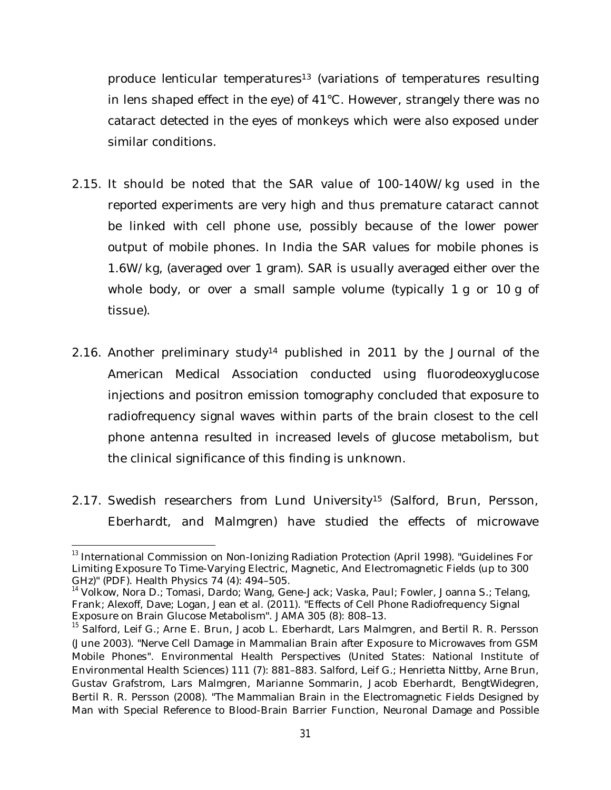produce lenticular temperatures<sup>13</sup> (variations of temperatures resulting in lens shaped effect in the eye) of 41°C. However, strangely there was no cataract detected in the eyes of monkeys which were also exposed under similar conditions.

- 2.15. It should be noted that the SAR value of 100-140W/kg used in the reported experiments are very high and thus premature cataract cannot be linked with cell phone use, possibly because of the lower power output of mobile phones. In India the SAR values for mobile phones is 1.6W/kg, (averaged over 1 gram). SAR is usually averaged either over the whole body, or over a small sample volume (typically 1 g or 10 g of tissue).
- 2.16. Another preliminary study<sup>14</sup> published in 2011 by the Journal of the American Medical Association conducted using fluorodeoxyglucose injections and positron emission tomography concluded that exposure to radiofrequency signal waves within parts of the brain closest to the cell phone antenna resulted in increased levels of glucose metabolism, but the clinical significance of this finding is unknown.
- 2.17. Swedish researchers from Lund University<sup>15</sup> (Salford, Brun, Persson, Eberhardt, and Malmgren) have studied the effects of microwave

 $\overline{a}$ <sup>13</sup> International Commission on Non-Ionizing Radiation Protection (April 1998). "Guidelines For Limiting Exposure To Time-Varying Electric, Magnetic, And Electromagnetic Fields (up to 300 GHz)" (PDF). Health Physics 74 (4): 494–505.

<sup>&</sup>lt;sup>14</sup> Volkow, Nora D.; Tomasi, Dardo; Wang, Gene-Jack; Vaska, Paul; Fowler, Joanna S.; Telang, Frank; Alexoff, Dave; Logan, Jean et al. (2011). "Effects of Cell Phone Radiofrequency Signal Exposure on Brain Glucose Metabolism". JAMA 305 (8): 808–13.

<sup>&</sup>lt;sup>15</sup> Salford, Leif G.; Arne E. Brun, Jacob L. Eberhardt, Lars Malmgren, and Bertil R. R. Persson (June 2003). "Nerve Cell Damage in Mammalian Brain after Exposure to Microwaves from GSM Mobile Phones". Environmental Health Perspectives (United States: National Institute of Environmental Health Sciences) 111 (7): 881–883. Salford, Leif G.; Henrietta Nittby, Arne Brun, Gustav Grafstrom, Lars Malmgren, Marianne Sommarin, Jacob Eberhardt, BengtWidegren, Bertil R. R. Persson (2008). "The Mammalian Brain in the Electromagnetic Fields Designed by Man with Special Reference to Blood-Brain Barrier Function, Neuronal Damage and Possible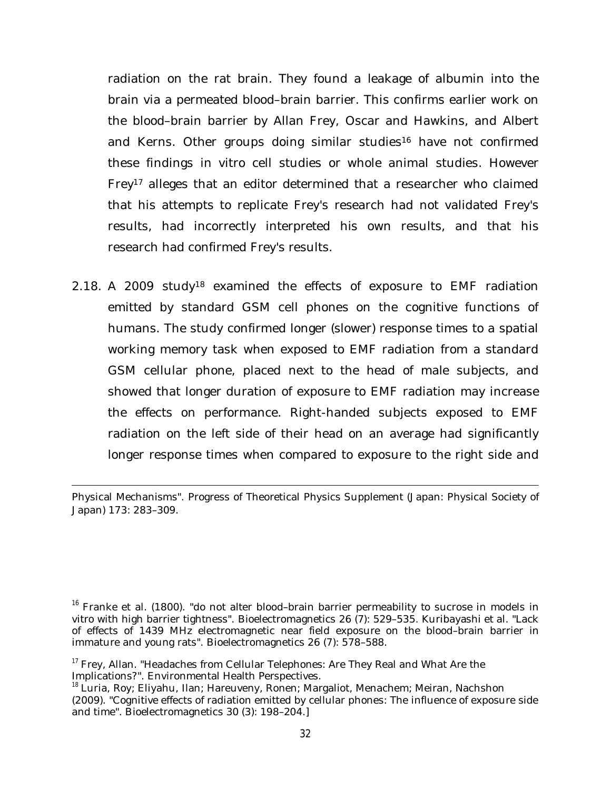radiation on the rat brain. They found a leakage of albumin into the brain via a permeated blood–brain barrier. This confirms earlier work on the blood–brain barrier by Allan Frey, Oscar and Hawkins, and Albert and Kerns. Other groups doing similar studies<sup>16</sup> have not confirmed these findings in vitro cell studies or whole animal studies. However Frey<sup>17</sup> alleges that an editor determined that a researcher who claimed that his attempts to replicate Frey's research had not validated Frey's results, had incorrectly interpreted his own results, and that his research had confirmed Frey's results.

2.18. A 2009 study<sup>18</sup> examined the effects of exposure to EMF radiation emitted by standard GSM cell phones on the cognitive functions of humans. The study confirmed longer (slower) response times to a spatial working memory task when exposed to EMF radiation from a standard GSM cellular phone, placed next to the head of male subjects, and showed that longer duration of exposure to EMF radiation may increase the effects on performance. Right-handed subjects exposed to EMF radiation on the left side of their head on an average had significantly longer response times when compared to exposure to the right side and

 $\overline{\phantom{a}}$ Physical Mechanisms". Progress of Theoretical Physics Supplement (Japan: Physical Society of Japan) 173: 283–309.

<sup>&</sup>lt;sup>16</sup> Franke et al. (1800). "do not alter blood-brain barrier permeability to sucrose in models in vitro with high barrier tightness". Bioelectromagnetics 26 (7): 529–535. Kuribayashi et al. "Lack of effects of 1439 MHz electromagnetic near field exposure on the blood–brain barrier in immature and young rats". Bioelectromagnetics 26 (7): 578–588.

<sup>&</sup>lt;sup>17</sup> Frey, Allan. "Headaches from Cellular Telephones: Are They Real and What Are the Implications?". Environmental Health Perspectives.

<sup>&</sup>lt;sup>18</sup> Luria, Roy; Eliyahu, Ilan; Hareuveny, Ronen; Margaliot, Menachem; Meiran, Nachshon (2009). "Cognitive effects of radiation emitted by cellular phones: The influence of exposure side and time". Bioelectromagnetics 30 (3): 198–204.]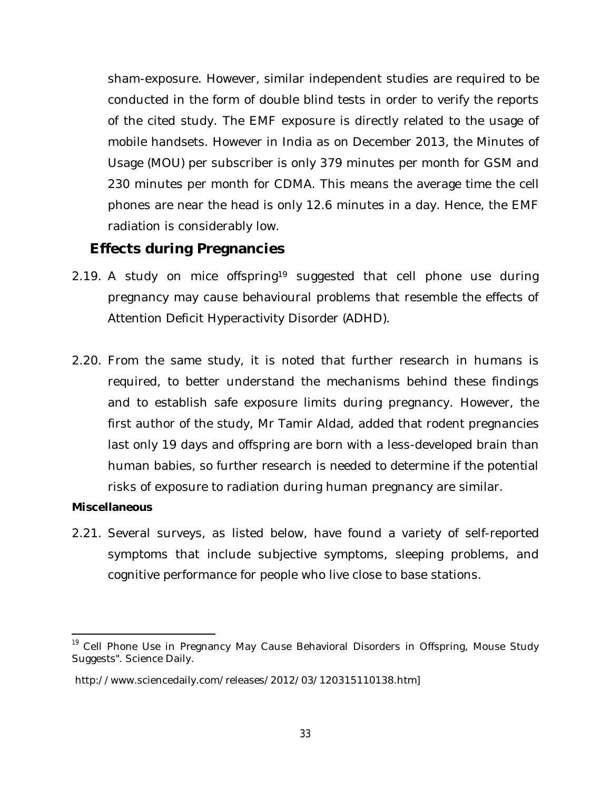sham-exposure. However, similar independent studies are required to be conducted in the form of double blind tests in order to verify the reports of the cited study. The EMF exposure is directly related to the usage of mobile handsets. However in India as on December 2013, the Minutes of Usage (MOU) per subscriber is only 379 minutes per month for GSM and 230 minutes per month for CDMA. This means the average time the cell phones are near the head is only 12.6 minutes in a day. Hence, the EMF radiation is considerably low.

## **Effects during Pregnancies**

- 2.19. A study on mice offspring<sup>19</sup> suggested that cell phone use during pregnancy may cause behavioural problems that resemble the effects of Attention Deficit Hyperactivity Disorder (ADHD).
- 2.20. From the same study, it is noted that further research in humans is required, to better understand the mechanisms behind these findings and to establish safe exposure limits during pregnancy. However, the first author of the study, Mr Tamir Aldad, added that rodent pregnancies last only 19 days and offspring are born with a less-developed brain than human babies, so further research is needed to determine if the potential risks of exposure to radiation during human pregnancy are similar.

#### **Miscellaneous**

 $\overline{a}$ 

2.21. Several surveys, as listed below, have found a variety of self-reported symptoms that include subjective symptoms, sleeping problems, and cognitive performance for people who live close to base stations.

<sup>&</sup>lt;sup>19</sup> Cell Phone Use in Pregnancy May Cause Behavioral Disorders in Offspring, Mouse Study Suggests". Science Daily.

http://www.sciencedaily.com/releases/2012/03/120315110138.htm]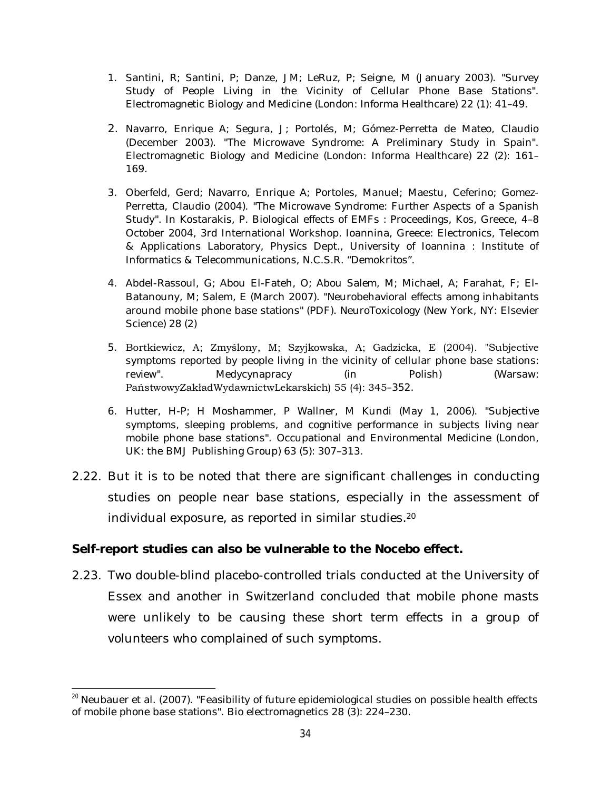- 1. Santini, R; Santini, P; Danze, JM; LeRuz, P; Seigne, M (January 2003). "Survey Study of People Living in the Vicinity of Cellular Phone Base Stations". Electromagnetic Biology and Medicine (London: Informa Healthcare) 22 (1): 41–49.
- 2. Navarro, Enrique A; Segura, J; Portolés, M; Gómez-Perretta de Mateo, Claudio (December 2003). "The Microwave Syndrome: A Preliminary Study in Spain". Electromagnetic Biology and Medicine (London: Informa Healthcare) 22 (2): 161– 169.
- 3. Oberfeld, Gerd; Navarro, Enrique A; Portoles, Manuel; Maestu, Ceferino; Gomez-Perretta, Claudio (2004). "The Microwave Syndrome: Further Aspects of a Spanish Study". In Kostarakis, P. Biological effects of EMFs : Proceedings, Kos, Greece, 4–8 October 2004, 3rd International Workshop. Ioannina, Greece: Electronics, Telecom & Applications Laboratory, Physics Dept., University of Ioannina : Institute of Informatics & Telecommunications, N.C.S.R. "Demokritos".
- 4. Abdel-Rassoul, G; Abou El-Fateh, O; Abou Salem, M; Michael, A; Farahat, F; El-Batanouny, M; Salem, E (March 2007). "Neurobehavioral effects among inhabitants around mobile phone base stations" (PDF). NeuroToxicology (New York, NY: Elsevier Science) 28 (2)
- 5. Bortkiewicz, A; Zmyślony, M; Szyjkowska, A; Gadzicka, E (2004). "Subjective symptoms reported by people living in the vicinity of cellular phone base stations: review". Medycynapracy (in Polish) (Warsaw: PaństwowyZakładWydawnictwLekarskich) 55 (4): 345–352.
- 6. Hutter, H-P; H Moshammer, P Wallner, M Kundi (May 1, 2006). "Subjective symptoms, sleeping problems, and cognitive performance in subjects living near mobile phone base stations". Occupational and Environmental Medicine (London, UK: the BMJ Publishing Group) 63 (5): 307–313.
- 2.22. But it is to be noted that there are significant challenges in conducting studies on people near base stations, especially in the assessment of individual exposure, as reported in similar studies.<sup>20</sup>

#### **Self-report studies can also be vulnerable to the Nocebo effect.**

2.23. Two double-blind placebo-controlled trials conducted at the University of Essex and another in Switzerland concluded that mobile phone masts were unlikely to be causing these short term effects in a group of volunteers who complained of such symptoms.

 $\overline{a}$  $^{20}$  Neubauer et al. (2007). "Feasibility of future epidemiological studies on possible health effects. of mobile phone base stations". Bio electromagnetics 28 (3): 224–230.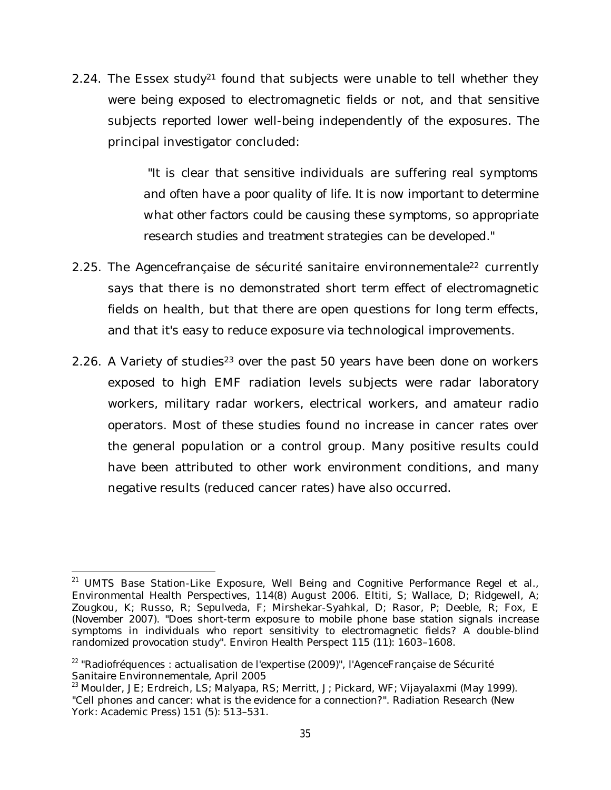2.24. The Essex study<sup>21</sup> found that subjects were unable to tell whether they were being exposed to electromagnetic fields or not, and that sensitive subjects reported lower well-being independently of the exposures. The principal investigator concluded:

> *"It is clear that sensitive individuals are suffering real symptoms and often have a poor quality of life. It is now important to determine what other factors could be causing these symptoms, so appropriate research studies and treatment strategies can be developed."*

- 2.25. The Agencefrançaise de sécurité sanitaire environnementale<sup>22</sup> currently says that there is no demonstrated short term effect of electromagnetic fields on health, but that there are open questions for long term effects, and that it's easy to reduce exposure via technological improvements.
- 2.26. A Variety of studies<sup>23</sup> over the past 50 years have been done on workers exposed to high EMF radiation levels subjects were radar laboratory workers, military radar workers, electrical workers, and amateur radio operators. Most of these studies found no increase in cancer rates over the general population or a control group. Many positive results could have been attributed to other work environment conditions, and many negative results (reduced cancer rates) have also occurred.

 $\overline{\phantom{a}}$ 

<sup>&</sup>lt;sup>21</sup> UMTS Base Station-Like Exposure, Well Being and Cognitive Performance Regel et al., Environmental Health Perspectives, 114(8) August 2006. Eltiti, S; Wallace, D; Ridgewell, A; Zougkou, K; Russo, R; Sepulveda, F; Mirshekar-Syahkal, D; Rasor, P; Deeble, R; Fox, E (November 2007). "Does short-term exposure to mobile phone base station signals increase symptoms in individuals who report sensitivity to electromagnetic fields? A double-blind randomized provocation study". Environ Health Perspect 115 (11): 1603–1608.

<sup>&</sup>lt;sup>22</sup> "Radiofréquences : actualisation de l'expertise (2009)", l'AgenceFrançaise de Sécurité Sanitaire Environnementale, April 2005

<sup>23</sup> Moulder, JE; Erdreich, LS; Malyapa, RS; Merritt, J; Pickard, WF; Vijayalaxmi (May 1999). "Cell phones and cancer: what is the evidence for a connection?". Radiation Research (New York: Academic Press) 151 (5): 513–531.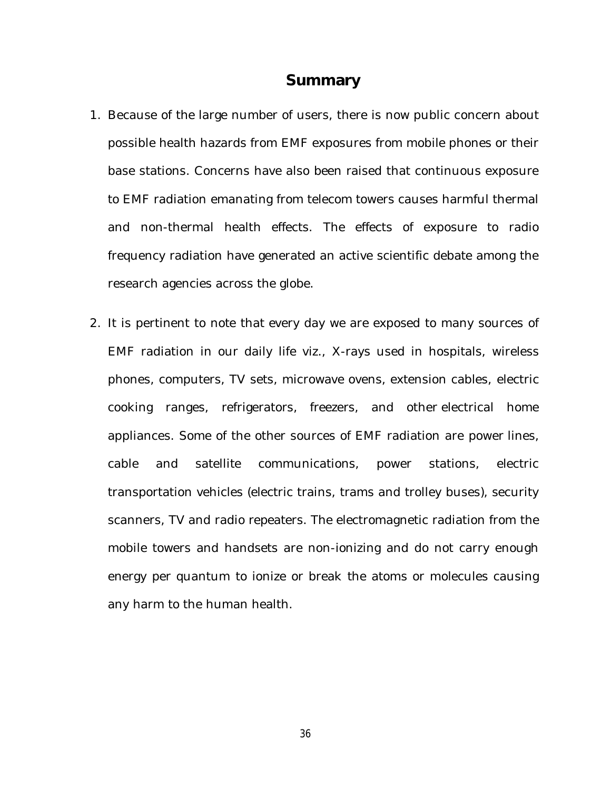#### **Summary**

- 1. Because of the large number of users, there is now public concern about possible health hazards from EMF exposures from mobile phones or their base stations. Concerns have also been raised that continuous exposure to EMF radiation emanating from telecom towers causes harmful thermal and non-thermal health effects. The effects of exposure to radio frequency radiation have generated an active scientific debate among the research agencies across the globe.
- 2. It is pertinent to note that every day we are exposed to many sources of EMF radiation in our daily life viz., X-rays used in hospitals, wireless phones, computers, TV sets, microwave ovens, extension cables, electric cooking ranges, refrigerators, freezers, and other electrical home appliances. Some of the other sources of EMF radiation are power lines, cable and satellite communications, power stations, electric transportation vehicles (electric trains, trams and trolley buses), security scanners, TV and radio repeaters. The electromagnetic radiation from the mobile towers and handsets are non-ionizing and do not carry enough energy per quantum to ionize or break the atoms or molecules causing any harm to the human health.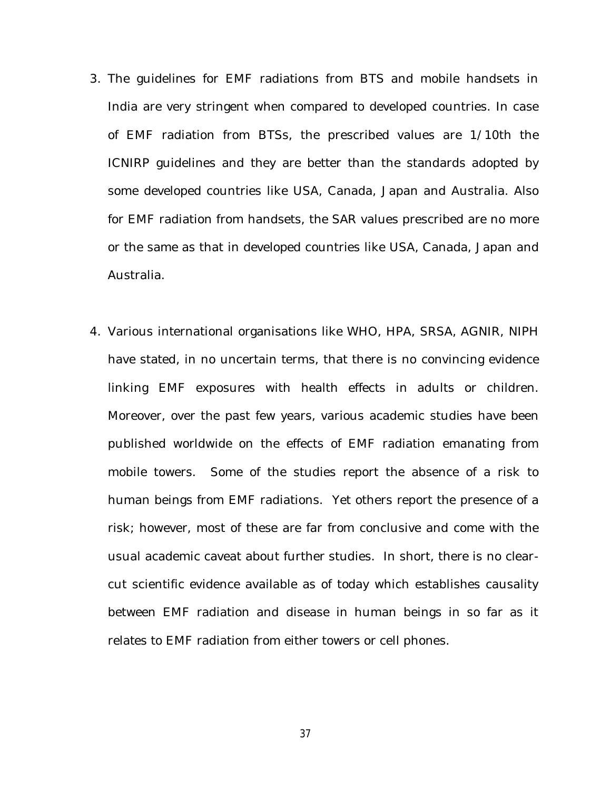- 3. The guidelines for EMF radiations from BTS and mobile handsets in India are very stringent when compared to developed countries. In case of EMF radiation from BTSs, the prescribed values are 1/10th the ICNIRP guidelines and they are better than the standards adopted by some developed countries like USA, Canada, Japan and Australia. Also for EMF radiation from handsets, the SAR values prescribed are no more or the same as that in developed countries like USA, Canada, Japan and Australia.
- 4. Various international organisations like WHO, HPA, SRSA, AGNIR, NIPH have stated, in no uncertain terms, that there is no convincing evidence linking EMF exposures with health effects in adults or children. Moreover, over the past few years, various academic studies have been published worldwide on the effects of EMF radiation emanating from mobile towers. Some of the studies report the absence of a risk to human beings from EMF radiations. Yet others report the presence of a risk; however, most of these are far from conclusive and come with the usual academic caveat about further studies. In short, there is no clearcut scientific evidence available as of today which establishes causality between EMF radiation and disease in human beings in so far as it relates to EMF radiation from either towers or cell phones.

37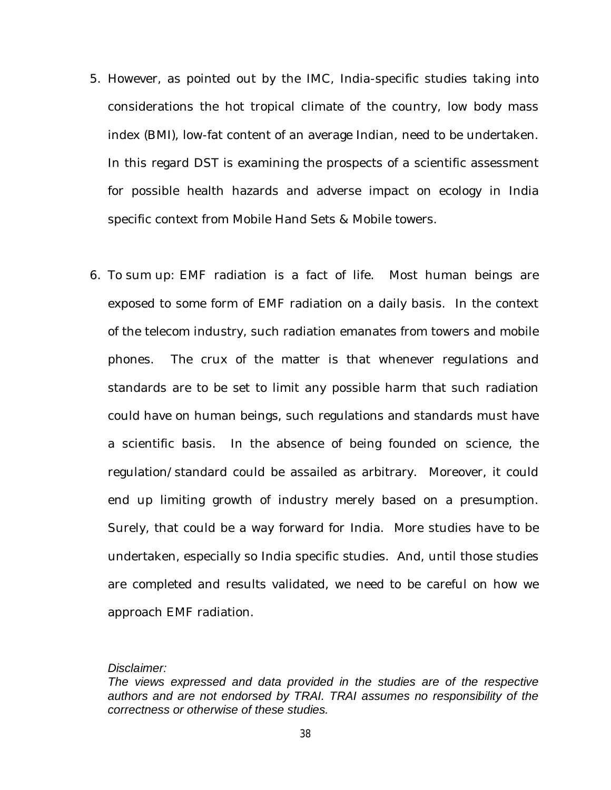- 5. However, as pointed out by the IMC, India-specific studies taking into considerations the hot tropical climate of the country, low body mass index (BMI), low-fat content of an average Indian, need to be undertaken. In this regard DST is examining the prospects of a scientific assessment for possible health hazards and adverse impact on ecology in India specific context from Mobile Hand Sets & Mobile towers.
- 6. To sum up: EMF radiation is a fact of life. Most human beings are exposed to some form of EMF radiation on a daily basis. In the context of the telecom industry, such radiation emanates from towers and mobile phones. The crux of the matter is that whenever regulations and standards are to be set to limit any possible harm that such radiation could have on human beings, such regulations and standards must have a scientific basis. In the absence of being founded on science, the regulation/standard could be assailed as arbitrary. Moreover, it could end up limiting growth of industry merely based on a presumption. Surely, that could be a way forward for India. More studies have to be undertaken, especially so India specific studies. And, until those studies are completed and results validated, we need to be careful on how we approach EMF radiation.

#### *Disclaimer:*

*The views expressed and data provided in the studies are of the respective authors and are not endorsed by TRAI. TRAI assumes no responsibility of the correctness or otherwise of these studies.*